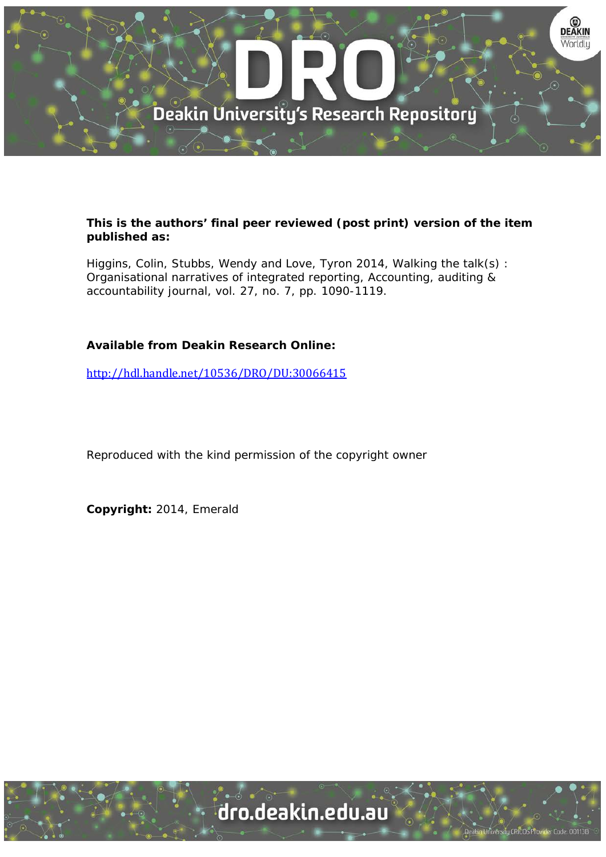

# **This is the authors' final peer reviewed (post print) version of the item published as:**

Higgins, Colin, Stubbs, Wendy and Love, Tyron 2014, Walking the talk(s) : Organisational narratives of integrated reporting, Accounting, auditing & accountability journal, vol. 27, no. 7, pp. 1090-1119.

# **Available from Deakin Research Online:**

[http://hdl.handle.net/10536/DRO/DU:3](http://hdl.handle.net/10536/DRO/DU:30065266)0066415

Reproduced with the kind permission of the copyright owner

**Copyright:** 2014, Emerald

المستور بالمستقلة المستقلة المستقلة المستقلة المستقلة المستقلة المستقلة المستقلة المستقلة المستقلة المستقلة ال<br>المستقلة المستقلة المستقلة المستقلة المستقلة المستقلة المستقلة المستقلة المستقلة المستقلة المستقلة المستقلة ال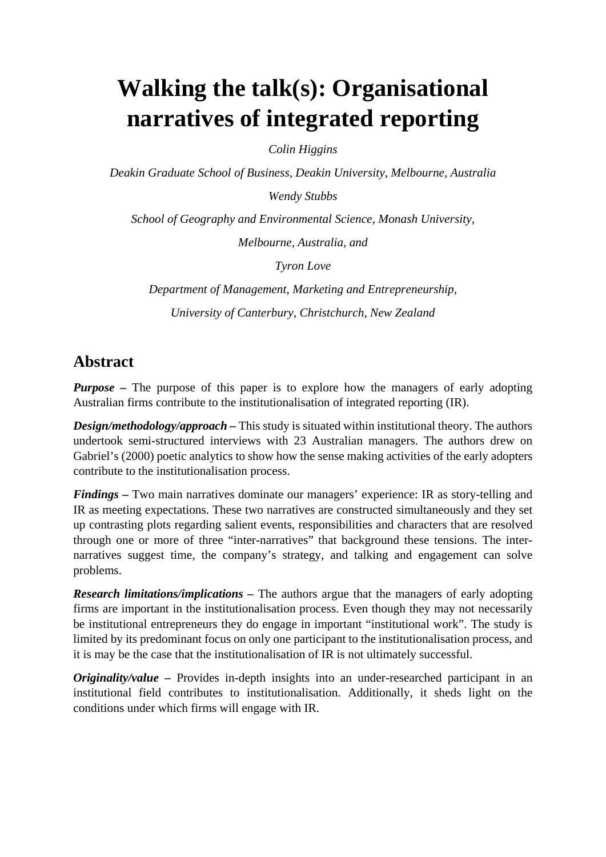# **Walking the talk(s): Organisational narratives of integrated reporting**

*Colin Higgins*

*Deakin Graduate School of Business, Deakin University, Melbourne, Australia Wendy Stubbs*

*School of Geography and Environmental Science, Monash University,*

*Melbourne, Australia, and*

*Tyron Love*

*Department of Management, Marketing and Entrepreneurship, University of Canterbury, Christchurch, New Zealand*

# **Abstract**

*Purpose* – The purpose of this paper is to explore how the managers of early adopting Australian firms contribute to the institutionalisation of integrated reporting (IR).

*Design/methodology/approach –* This study is situated within institutional theory. The authors undertook semi-structured interviews with 23 Australian managers. The authors drew on Gabriel's (2000) poetic analytics to show how the sense making activities of the early adopters contribute to the institutionalisation process.

*Findings –* Two main narratives dominate our managers' experience: IR as story-telling and IR as meeting expectations. These two narratives are constructed simultaneously and they set up contrasting plots regarding salient events, responsibilities and characters that are resolved through one or more of three "inter-narratives" that background these tensions. The internarratives suggest time, the company's strategy, and talking and engagement can solve problems.

*Research limitations/implications –* The authors argue that the managers of early adopting firms are important in the institutionalisation process. Even though they may not necessarily be institutional entrepreneurs they do engage in important "institutional work". The study is limited by its predominant focus on only one participant to the institutionalisation process, and it is may be the case that the institutionalisation of IR is not ultimately successful.

*Originality/value* – Provides in-depth insights into an under-researched participant in an institutional field contributes to institutionalisation. Additionally, it sheds light on the conditions under which firms will engage with IR.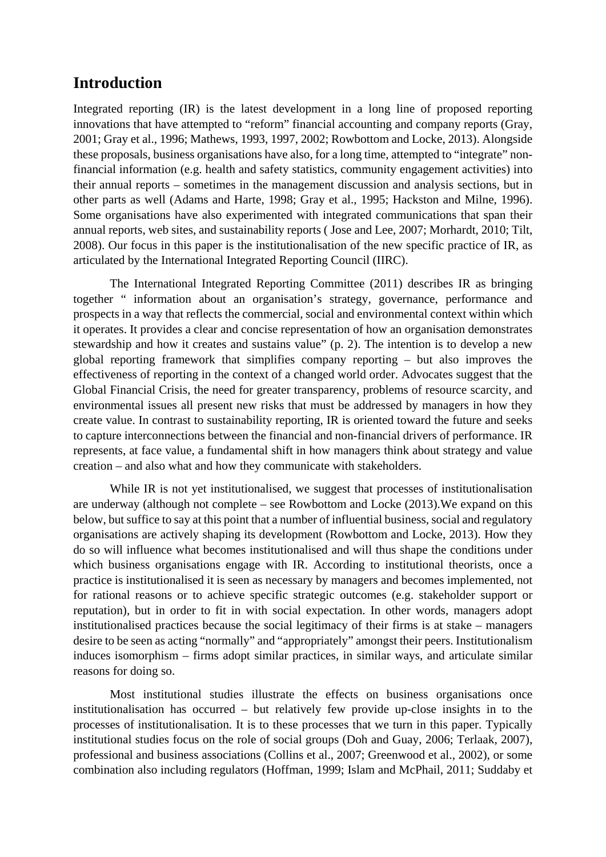# **Introduction**

Integrated reporting (IR) is the latest development in a long line of proposed reporting innovations that have attempted to "reform" financial accounting and company reports (Gray, 2001; Gray et al., 1996; Mathews, 1993, 1997, 2002; Rowbottom and Locke, 2013). Alongside these proposals, business organisations have also, for a long time, attempted to "integrate" nonfinancial information (e.g. health and safety statistics, community engagement activities) into their annual reports – sometimes in the management discussion and analysis sections, but in other parts as well (Adams and Harte, 1998; Gray et al., 1995; Hackston and Milne, 1996). Some organisations have also experimented with integrated communications that span their annual reports, web sites, and sustainability reports ( Jose and Lee, 2007; Morhardt, 2010; Tilt, 2008). Our focus in this paper is the institutionalisation of the new specific practice of IR, as articulated by the International Integrated Reporting Council (IIRC).

The International Integrated Reporting Committee (2011) describes IR as bringing together " information about an organisation's strategy, governance, performance and prospects in a way that reflects the commercial, social and environmental context within which it operates. It provides a clear and concise representation of how an organisation demonstrates stewardship and how it creates and sustains value" (p. 2). The intention is to develop a new global reporting framework that simplifies company reporting – but also improves the effectiveness of reporting in the context of a changed world order. Advocates suggest that the Global Financial Crisis, the need for greater transparency, problems of resource scarcity, and environmental issues all present new risks that must be addressed by managers in how they create value. In contrast to sustainability reporting, IR is oriented toward the future and seeks to capture interconnections between the financial and non-financial drivers of performance. IR represents, at face value, a fundamental shift in how managers think about strategy and value creation – and also what and how they communicate with stakeholders.

While IR is not yet institutionalised, we suggest that processes of institutionalisation are underway (although not complete – see Rowbottom and Locke (2013).We expand on this below, but suffice to say at this point that a number of influential business, social and regulatory organisations are actively shaping its development (Rowbottom and Locke, 2013). How they do so will influence what becomes institutionalised and will thus shape the conditions under which business organisations engage with IR. According to institutional theorists, once a practice is institutionalised it is seen as necessary by managers and becomes implemented, not for rational reasons or to achieve specific strategic outcomes (e.g. stakeholder support or reputation), but in order to fit in with social expectation. In other words, managers adopt institutionalised practices because the social legitimacy of their firms is at stake – managers desire to be seen as acting "normally" and "appropriately" amongst their peers. Institutionalism induces isomorphism – firms adopt similar practices, in similar ways, and articulate similar reasons for doing so.

Most institutional studies illustrate the effects on business organisations once institutionalisation has occurred – but relatively few provide up-close insights in to the processes of institutionalisation. It is to these processes that we turn in this paper. Typically institutional studies focus on the role of social groups (Doh and Guay, 2006; Terlaak, 2007), professional and business associations (Collins et al., 2007; Greenwood et al., 2002), or some combination also including regulators (Hoffman, 1999; Islam and McPhail, 2011; Suddaby et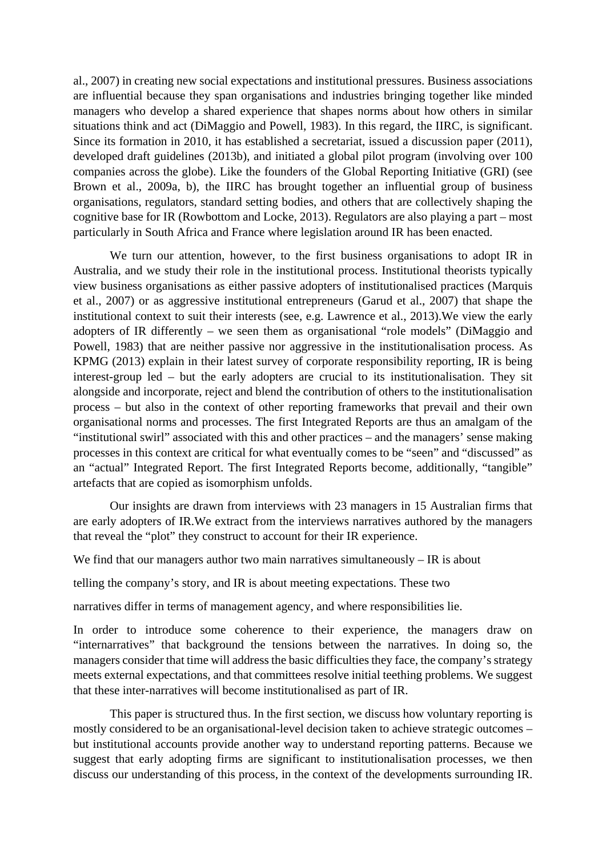al., 2007) in creating new social expectations and institutional pressures. Business associations are influential because they span organisations and industries bringing together like minded managers who develop a shared experience that shapes norms about how others in similar situations think and act (DiMaggio and Powell, 1983). In this regard, the IIRC, is significant. Since its formation in 2010, it has established a secretariat, issued a discussion paper (2011), developed draft guidelines (2013b), and initiated a global pilot program (involving over 100 companies across the globe). Like the founders of the Global Reporting Initiative (GRI) (see Brown et al., 2009a, b), the IIRC has brought together an influential group of business organisations, regulators, standard setting bodies, and others that are collectively shaping the cognitive base for IR (Rowbottom and Locke, 2013). Regulators are also playing a part – most particularly in South Africa and France where legislation around IR has been enacted.

We turn our attention, however, to the first business organisations to adopt IR in Australia, and we study their role in the institutional process. Institutional theorists typically view business organisations as either passive adopters of institutionalised practices (Marquis et al., 2007) or as aggressive institutional entrepreneurs (Garud et al., 2007) that shape the institutional context to suit their interests (see, e.g. Lawrence et al., 2013).We view the early adopters of IR differently – we seen them as organisational "role models" (DiMaggio and Powell, 1983) that are neither passive nor aggressive in the institutionalisation process. As KPMG (2013) explain in their latest survey of corporate responsibility reporting, IR is being interest-group led – but the early adopters are crucial to its institutionalisation. They sit alongside and incorporate, reject and blend the contribution of others to the institutionalisation process – but also in the context of other reporting frameworks that prevail and their own organisational norms and processes. The first Integrated Reports are thus an amalgam of the "institutional swirl" associated with this and other practices – and the managers' sense making processes in this context are critical for what eventually comes to be "seen" and "discussed" as an "actual" Integrated Report. The first Integrated Reports become, additionally, "tangible" artefacts that are copied as isomorphism unfolds.

Our insights are drawn from interviews with 23 managers in 15 Australian firms that are early adopters of IR.We extract from the interviews narratives authored by the managers that reveal the "plot" they construct to account for their IR experience.

We find that our managers author two main narratives simultaneously – IR is about

telling the company's story, and IR is about meeting expectations. These two

narratives differ in terms of management agency, and where responsibilities lie.

In order to introduce some coherence to their experience, the managers draw on "internarratives" that background the tensions between the narratives. In doing so, the managers consider that time will address the basic difficulties they face, the company's strategy meets external expectations, and that committees resolve initial teething problems. We suggest that these inter-narratives will become institutionalised as part of IR.

This paper is structured thus. In the first section, we discuss how voluntary reporting is mostly considered to be an organisational-level decision taken to achieve strategic outcomes – but institutional accounts provide another way to understand reporting patterns. Because we suggest that early adopting firms are significant to institutionalisation processes, we then discuss our understanding of this process, in the context of the developments surrounding IR.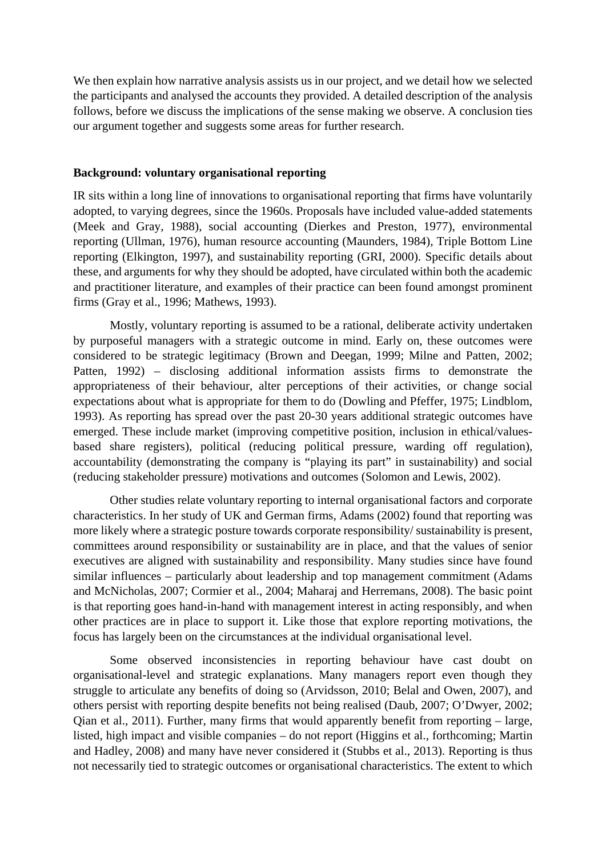We then explain how narrative analysis assists us in our project, and we detail how we selected the participants and analysed the accounts they provided. A detailed description of the analysis follows, before we discuss the implications of the sense making we observe. A conclusion ties our argument together and suggests some areas for further research.

## **Background: voluntary organisational reporting**

IR sits within a long line of innovations to organisational reporting that firms have voluntarily adopted, to varying degrees, since the 1960s. Proposals have included value-added statements (Meek and Gray, 1988), social accounting (Dierkes and Preston, 1977), environmental reporting (Ullman, 1976), human resource accounting (Maunders, 1984), Triple Bottom Line reporting (Elkington, 1997), and sustainability reporting (GRI, 2000). Specific details about these, and arguments for why they should be adopted, have circulated within both the academic and practitioner literature, and examples of their practice can been found amongst prominent firms (Gray et al., 1996; Mathews, 1993).

Mostly, voluntary reporting is assumed to be a rational, deliberate activity undertaken by purposeful managers with a strategic outcome in mind. Early on, these outcomes were considered to be strategic legitimacy (Brown and Deegan, 1999; Milne and Patten, 2002; Patten, 1992) – disclosing additional information assists firms to demonstrate the appropriateness of their behaviour, alter perceptions of their activities, or change social expectations about what is appropriate for them to do (Dowling and Pfeffer, 1975; Lindblom, 1993). As reporting has spread over the past 20-30 years additional strategic outcomes have emerged. These include market (improving competitive position, inclusion in ethical/valuesbased share registers), political (reducing political pressure, warding off regulation), accountability (demonstrating the company is "playing its part" in sustainability) and social (reducing stakeholder pressure) motivations and outcomes (Solomon and Lewis, 2002).

Other studies relate voluntary reporting to internal organisational factors and corporate characteristics. In her study of UK and German firms, Adams (2002) found that reporting was more likely where a strategic posture towards corporate responsibility/ sustainability is present, committees around responsibility or sustainability are in place, and that the values of senior executives are aligned with sustainability and responsibility. Many studies since have found similar influences – particularly about leadership and top management commitment (Adams and McNicholas, 2007; Cormier et al., 2004; Maharaj and Herremans, 2008). The basic point is that reporting goes hand-in-hand with management interest in acting responsibly, and when other practices are in place to support it. Like those that explore reporting motivations, the focus has largely been on the circumstances at the individual organisational level.

Some observed inconsistencies in reporting behaviour have cast doubt on organisational-level and strategic explanations. Many managers report even though they struggle to articulate any benefits of doing so (Arvidsson, 2010; Belal and Owen, 2007), and others persist with reporting despite benefits not being realised (Daub, 2007; O'Dwyer, 2002; Qian et al., 2011). Further, many firms that would apparently benefit from reporting – large, listed, high impact and visible companies – do not report (Higgins et al., forthcoming; Martin and Hadley, 2008) and many have never considered it (Stubbs et al., 2013). Reporting is thus not necessarily tied to strategic outcomes or organisational characteristics. The extent to which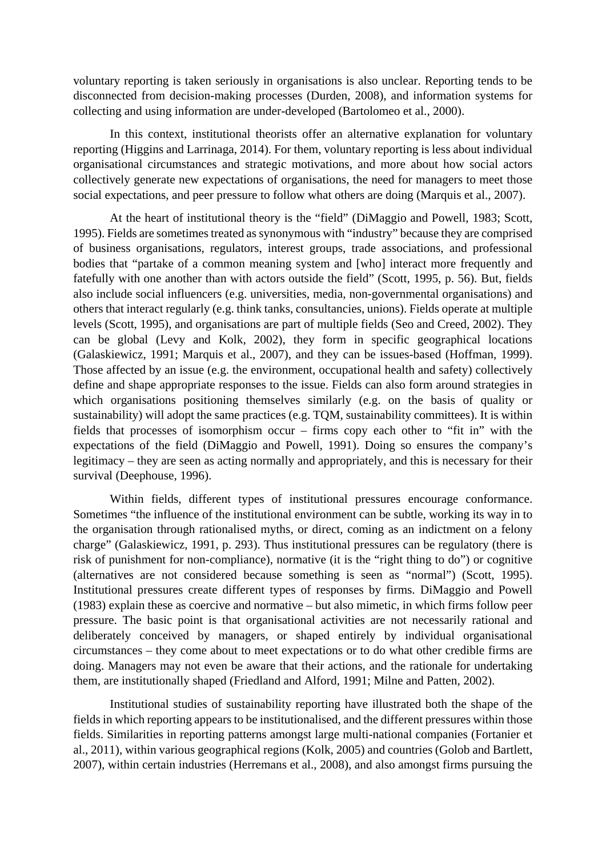voluntary reporting is taken seriously in organisations is also unclear. Reporting tends to be disconnected from decision-making processes (Durden, 2008), and information systems for collecting and using information are under-developed (Bartolomeo et al., 2000).

In this context, institutional theorists offer an alternative explanation for voluntary reporting (Higgins and Larrinaga, 2014). For them, voluntary reporting is less about individual organisational circumstances and strategic motivations, and more about how social actors collectively generate new expectations of organisations, the need for managers to meet those social expectations, and peer pressure to follow what others are doing (Marquis et al., 2007).

At the heart of institutional theory is the "field" (DiMaggio and Powell, 1983; Scott, 1995). Fields are sometimes treated as synonymous with "industry" because they are comprised of business organisations, regulators, interest groups, trade associations, and professional bodies that "partake of a common meaning system and [who] interact more frequently and fatefully with one another than with actors outside the field" (Scott, 1995, p. 56). But, fields also include social influencers (e.g. universities, media, non-governmental organisations) and others that interact regularly (e.g. think tanks, consultancies, unions). Fields operate at multiple levels (Scott, 1995), and organisations are part of multiple fields (Seo and Creed, 2002). They can be global (Levy and Kolk, 2002), they form in specific geographical locations (Galaskiewicz, 1991; Marquis et al., 2007), and they can be issues-based (Hoffman, 1999). Those affected by an issue (e.g. the environment, occupational health and safety) collectively define and shape appropriate responses to the issue. Fields can also form around strategies in which organisations positioning themselves similarly (e.g. on the basis of quality or sustainability) will adopt the same practices (e.g. TQM, sustainability committees). It is within fields that processes of isomorphism occur – firms copy each other to "fit in" with the expectations of the field (DiMaggio and Powell, 1991). Doing so ensures the company's legitimacy – they are seen as acting normally and appropriately, and this is necessary for their survival (Deephouse, 1996).

Within fields, different types of institutional pressures encourage conformance. Sometimes "the influence of the institutional environment can be subtle, working its way in to the organisation through rationalised myths, or direct, coming as an indictment on a felony charge" (Galaskiewicz, 1991, p. 293). Thus institutional pressures can be regulatory (there is risk of punishment for non-compliance), normative (it is the "right thing to do") or cognitive (alternatives are not considered because something is seen as "normal") (Scott, 1995). Institutional pressures create different types of responses by firms. DiMaggio and Powell (1983) explain these as coercive and normative – but also mimetic, in which firms follow peer pressure. The basic point is that organisational activities are not necessarily rational and deliberately conceived by managers, or shaped entirely by individual organisational circumstances – they come about to meet expectations or to do what other credible firms are doing. Managers may not even be aware that their actions, and the rationale for undertaking them, are institutionally shaped (Friedland and Alford, 1991; Milne and Patten, 2002).

Institutional studies of sustainability reporting have illustrated both the shape of the fields in which reporting appears to be institutionalised, and the different pressures within those fields. Similarities in reporting patterns amongst large multi-national companies (Fortanier et al., 2011), within various geographical regions (Kolk, 2005) and countries (Golob and Bartlett, 2007), within certain industries (Herremans et al., 2008), and also amongst firms pursuing the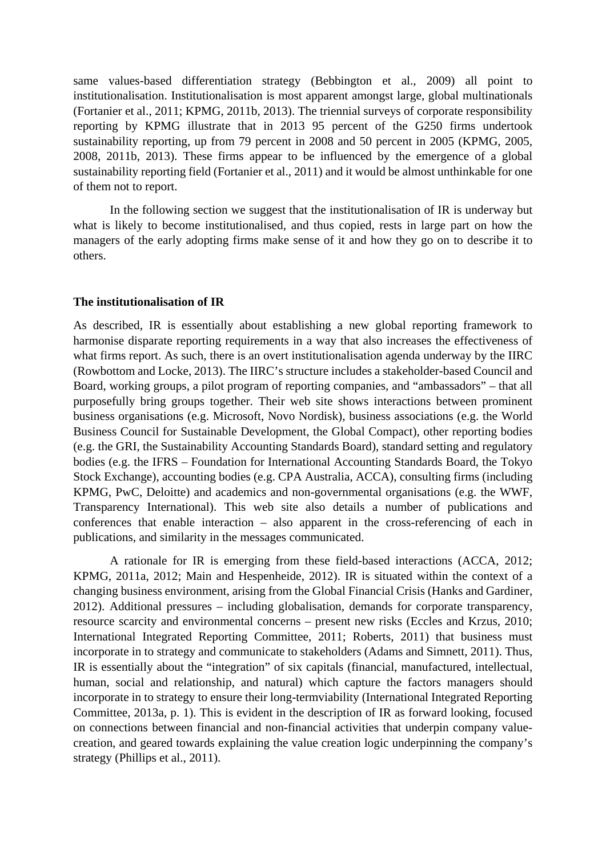same values-based differentiation strategy (Bebbington et al., 2009) all point to institutionalisation. Institutionalisation is most apparent amongst large, global multinationals (Fortanier et al., 2011; KPMG, 2011b, 2013). The triennial surveys of corporate responsibility reporting by KPMG illustrate that in 2013 95 percent of the G250 firms undertook sustainability reporting, up from 79 percent in 2008 and 50 percent in 2005 (KPMG, 2005, 2008, 2011b, 2013). These firms appear to be influenced by the emergence of a global sustainability reporting field (Fortanier et al., 2011) and it would be almost unthinkable for one of them not to report.

In the following section we suggest that the institutionalisation of IR is underway but what is likely to become institutionalised, and thus copied, rests in large part on how the managers of the early adopting firms make sense of it and how they go on to describe it to others.

#### **The institutionalisation of IR**

As described, IR is essentially about establishing a new global reporting framework to harmonise disparate reporting requirements in a way that also increases the effectiveness of what firms report. As such, there is an overt institutionalisation agenda underway by the IIRC (Rowbottom and Locke, 2013). The IIRC's structure includes a stakeholder-based Council and Board, working groups, a pilot program of reporting companies, and "ambassadors" – that all purposefully bring groups together. Their web site shows interactions between prominent business organisations (e.g. Microsoft, Novo Nordisk), business associations (e.g. the World Business Council for Sustainable Development, the Global Compact), other reporting bodies (e.g. the GRI, the Sustainability Accounting Standards Board), standard setting and regulatory bodies (e.g. the IFRS – Foundation for International Accounting Standards Board, the Tokyo Stock Exchange), accounting bodies (e.g. CPA Australia, ACCA), consulting firms (including KPMG, PwC, Deloitte) and academics and non-governmental organisations (e.g. the WWF, Transparency International). This web site also details a number of publications and conferences that enable interaction – also apparent in the cross-referencing of each in publications, and similarity in the messages communicated.

A rationale for IR is emerging from these field-based interactions (ACCA, 2012; KPMG, 2011a, 2012; Main and Hespenheide, 2012). IR is situated within the context of a changing business environment, arising from the Global Financial Crisis (Hanks and Gardiner, 2012). Additional pressures – including globalisation, demands for corporate transparency, resource scarcity and environmental concerns – present new risks (Eccles and Krzus, 2010; International Integrated Reporting Committee, 2011; Roberts, 2011) that business must incorporate in to strategy and communicate to stakeholders (Adams and Simnett, 2011). Thus, IR is essentially about the "integration" of six capitals (financial, manufactured, intellectual, human, social and relationship, and natural) which capture the factors managers should incorporate in to strategy to ensure their long-termviability (International Integrated Reporting Committee, 2013a, p. 1). This is evident in the description of IR as forward looking, focused on connections between financial and non-financial activities that underpin company valuecreation, and geared towards explaining the value creation logic underpinning the company's strategy (Phillips et al., 2011).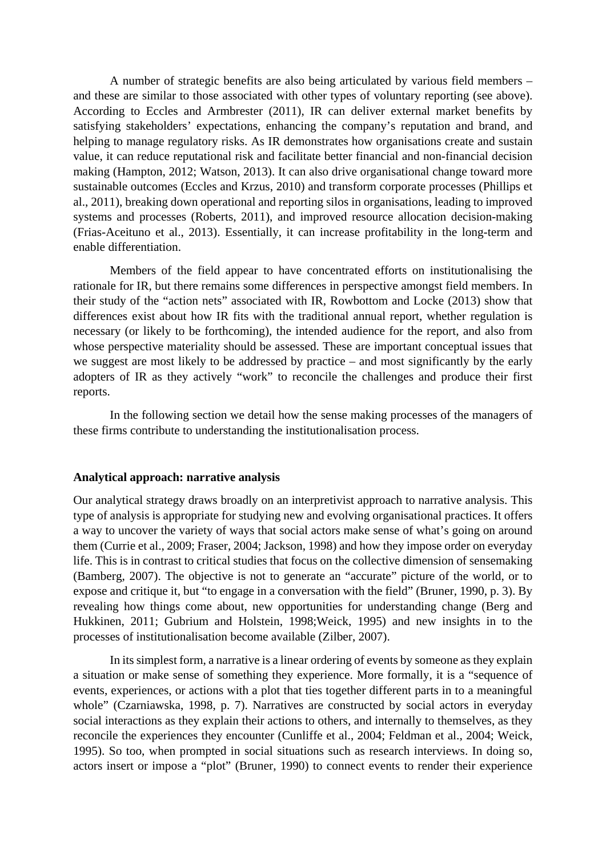A number of strategic benefits are also being articulated by various field members – and these are similar to those associated with other types of voluntary reporting (see above). According to Eccles and Armbrester (2011), IR can deliver external market benefits by satisfying stakeholders' expectations, enhancing the company's reputation and brand, and helping to manage regulatory risks. As IR demonstrates how organisations create and sustain value, it can reduce reputational risk and facilitate better financial and non-financial decision making (Hampton, 2012; Watson, 2013). It can also drive organisational change toward more sustainable outcomes (Eccles and Krzus, 2010) and transform corporate processes (Phillips et al., 2011), breaking down operational and reporting silos in organisations, leading to improved systems and processes (Roberts, 2011), and improved resource allocation decision-making (Frias-Aceituno et al., 2013). Essentially, it can increase profitability in the long-term and enable differentiation.

Members of the field appear to have concentrated efforts on institutionalising the rationale for IR, but there remains some differences in perspective amongst field members. In their study of the "action nets" associated with IR, Rowbottom and Locke (2013) show that differences exist about how IR fits with the traditional annual report, whether regulation is necessary (or likely to be forthcoming), the intended audience for the report, and also from whose perspective materiality should be assessed. These are important conceptual issues that we suggest are most likely to be addressed by practice – and most significantly by the early adopters of IR as they actively "work" to reconcile the challenges and produce their first reports.

In the following section we detail how the sense making processes of the managers of these firms contribute to understanding the institutionalisation process.

#### **Analytical approach: narrative analysis**

Our analytical strategy draws broadly on an interpretivist approach to narrative analysis. This type of analysis is appropriate for studying new and evolving organisational practices. It offers a way to uncover the variety of ways that social actors make sense of what's going on around them (Currie et al., 2009; Fraser, 2004; Jackson, 1998) and how they impose order on everyday life. This is in contrast to critical studies that focus on the collective dimension of sensemaking (Bamberg, 2007). The objective is not to generate an "accurate" picture of the world, or to expose and critique it, but "to engage in a conversation with the field" (Bruner, 1990, p. 3). By revealing how things come about, new opportunities for understanding change (Berg and Hukkinen, 2011; Gubrium and Holstein, 1998;Weick, 1995) and new insights in to the processes of institutionalisation become available (Zilber, 2007).

In its simplest form, a narrative is a linear ordering of events by someone as they explain a situation or make sense of something they experience. More formally, it is a "sequence of events, experiences, or actions with a plot that ties together different parts in to a meaningful whole" (Czarniawska, 1998, p. 7). Narratives are constructed by social actors in everyday social interactions as they explain their actions to others, and internally to themselves, as they reconcile the experiences they encounter (Cunliffe et al., 2004; Feldman et al., 2004; Weick, 1995). So too, when prompted in social situations such as research interviews. In doing so, actors insert or impose a "plot" (Bruner, 1990) to connect events to render their experience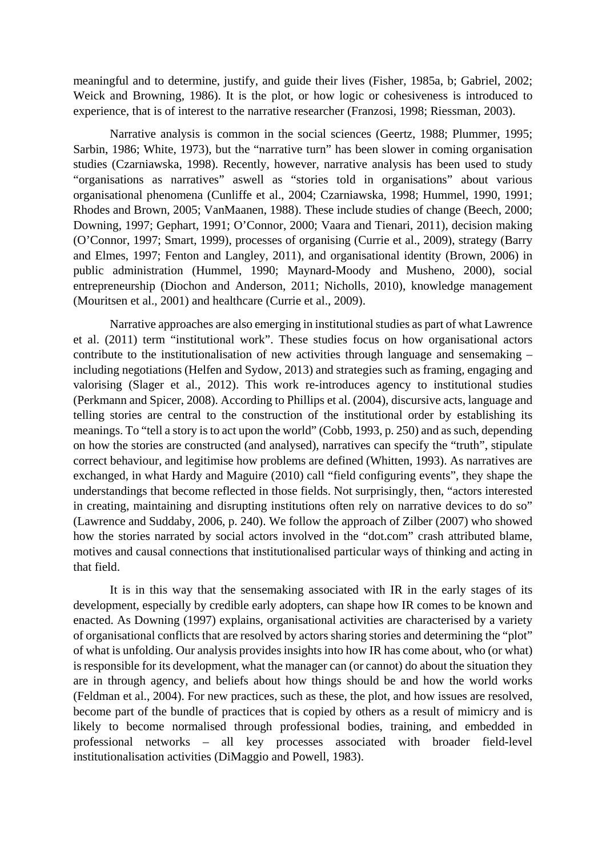meaningful and to determine, justify, and guide their lives (Fisher, 1985a, b; Gabriel, 2002; Weick and Browning, 1986). It is the plot, or how logic or cohesiveness is introduced to experience, that is of interest to the narrative researcher (Franzosi, 1998; Riessman, 2003).

Narrative analysis is common in the social sciences (Geertz, 1988; Plummer, 1995; Sarbin, 1986; White, 1973), but the "narrative turn" has been slower in coming organisation studies (Czarniawska, 1998). Recently, however, narrative analysis has been used to study "organisations as narratives" aswell as "stories told in organisations" about various organisational phenomena (Cunliffe et al., 2004; Czarniawska, 1998; Hummel, 1990, 1991; Rhodes and Brown, 2005; VanMaanen, 1988). These include studies of change (Beech, 2000; Downing, 1997; Gephart, 1991; O'Connor, 2000; Vaara and Tienari, 2011), decision making (O'Connor, 1997; Smart, 1999), processes of organising (Currie et al., 2009), strategy (Barry and Elmes, 1997; Fenton and Langley, 2011), and organisational identity (Brown, 2006) in public administration (Hummel, 1990; Maynard-Moody and Musheno, 2000), social entrepreneurship (Diochon and Anderson, 2011; Nicholls, 2010), knowledge management (Mouritsen et al., 2001) and healthcare (Currie et al., 2009).

Narrative approaches are also emerging in institutional studies as part of what Lawrence et al. (2011) term "institutional work". These studies focus on how organisational actors contribute to the institutionalisation of new activities through language and sensemaking – including negotiations (Helfen and Sydow, 2013) and strategies such as framing, engaging and valorising (Slager et al., 2012). This work re-introduces agency to institutional studies (Perkmann and Spicer, 2008). According to Phillips et al. (2004), discursive acts, language and telling stories are central to the construction of the institutional order by establishing its meanings. To "tell a story is to act upon the world" (Cobb, 1993, p. 250) and as such, depending on how the stories are constructed (and analysed), narratives can specify the "truth", stipulate correct behaviour, and legitimise how problems are defined (Whitten, 1993). As narratives are exchanged, in what Hardy and Maguire (2010) call "field configuring events", they shape the understandings that become reflected in those fields. Not surprisingly, then, "actors interested in creating, maintaining and disrupting institutions often rely on narrative devices to do so" (Lawrence and Suddaby, 2006, p. 240). We follow the approach of Zilber (2007) who showed how the stories narrated by social actors involved in the "dot.com" crash attributed blame, motives and causal connections that institutionalised particular ways of thinking and acting in that field.

It is in this way that the sensemaking associated with IR in the early stages of its development, especially by credible early adopters, can shape how IR comes to be known and enacted. As Downing (1997) explains, organisational activities are characterised by a variety of organisational conflicts that are resolved by actors sharing stories and determining the "plot" of what is unfolding. Our analysis provides insights into how IR has come about, who (or what) is responsible for its development, what the manager can (or cannot) do about the situation they are in through agency, and beliefs about how things should be and how the world works (Feldman et al., 2004). For new practices, such as these, the plot, and how issues are resolved, become part of the bundle of practices that is copied by others as a result of mimicry and is likely to become normalised through professional bodies, training, and embedded in professional networks – all key processes associated with broader field-level institutionalisation activities (DiMaggio and Powell, 1983).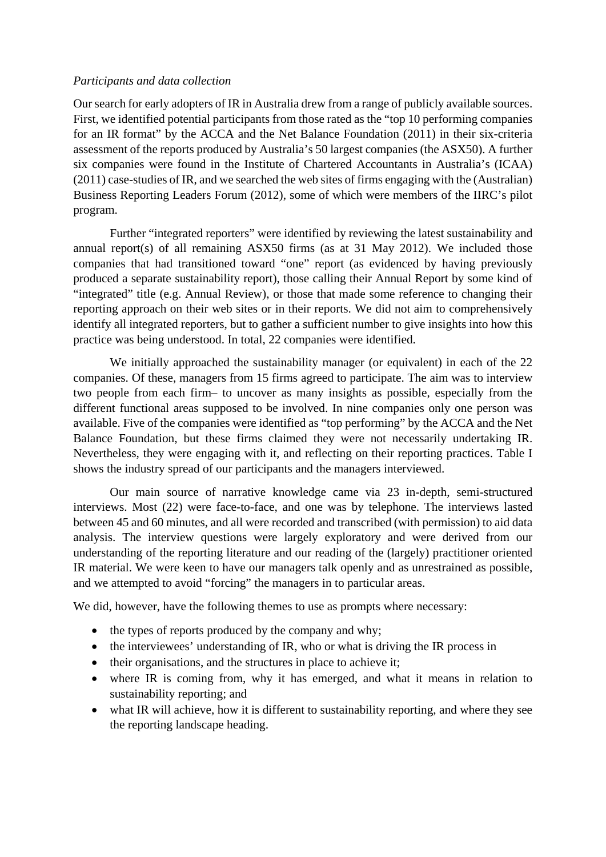# *Participants and data collection*

Our search for early adopters of IR in Australia drew from a range of publicly available sources. First, we identified potential participants from those rated as the "top 10 performing companies for an IR format" by the ACCA and the Net Balance Foundation (2011) in their six-criteria assessment of the reports produced by Australia's 50 largest companies (the ASX50). A further six companies were found in the Institute of Chartered Accountants in Australia's (ICAA) (2011) case-studies of IR, and we searched the web sites of firms engaging with the (Australian) Business Reporting Leaders Forum (2012), some of which were members of the IIRC's pilot program.

Further "integrated reporters" were identified by reviewing the latest sustainability and annual report(s) of all remaining ASX50 firms (as at 31 May 2012). We included those companies that had transitioned toward "one" report (as evidenced by having previously produced a separate sustainability report), those calling their Annual Report by some kind of "integrated" title (e.g. Annual Review), or those that made some reference to changing their reporting approach on their web sites or in their reports. We did not aim to comprehensively identify all integrated reporters, but to gather a sufficient number to give insights into how this practice was being understood. In total, 22 companies were identified.

We initially approached the sustainability manager (or equivalent) in each of the 22 companies. Of these, managers from 15 firms agreed to participate. The aim was to interview two people from each firm– to uncover as many insights as possible, especially from the different functional areas supposed to be involved. In nine companies only one person was available. Five of the companies were identified as "top performing" by the ACCA and the Net Balance Foundation, but these firms claimed they were not necessarily undertaking IR. Nevertheless, they were engaging with it, and reflecting on their reporting practices. Table I shows the industry spread of our participants and the managers interviewed.

Our main source of narrative knowledge came via 23 in-depth, semi-structured interviews. Most (22) were face-to-face, and one was by telephone. The interviews lasted between 45 and 60 minutes, and all were recorded and transcribed (with permission) to aid data analysis. The interview questions were largely exploratory and were derived from our understanding of the reporting literature and our reading of the (largely) practitioner oriented IR material. We were keen to have our managers talk openly and as unrestrained as possible, and we attempted to avoid "forcing" the managers in to particular areas.

We did, however, have the following themes to use as prompts where necessary:

- the types of reports produced by the company and why:
- the interviewees' understanding of IR, who or what is driving the IR process in
- their organisations, and the structures in place to achieve it;
- where IR is coming from, why it has emerged, and what it means in relation to sustainability reporting; and
- what IR will achieve, how it is different to sustainability reporting, and where they see the reporting landscape heading.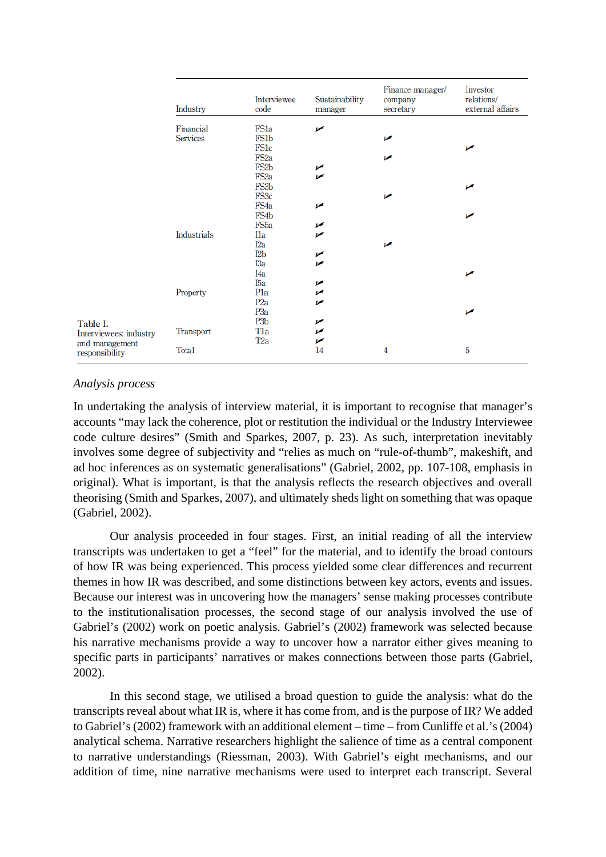|                        | Industry        | Interviewee<br>code | Sustainability<br>manager | Finance manager/<br>company<br>secretary | Investor<br>relations/<br>external affairs |
|------------------------|-----------------|---------------------|---------------------------|------------------------------------------|--------------------------------------------|
|                        | Financial       | FS <sub>1</sub> a   | ممنا                      |                                          |                                            |
|                        | <b>Services</b> | FS1b                |                           | ممنا                                     |                                            |
|                        |                 | FS1c                |                           |                                          | ممن                                        |
|                        |                 | FS <sub>2</sub> a   |                           | ممنا                                     |                                            |
|                        |                 | FS <sub>2</sub> b   | ∽                         |                                          |                                            |
|                        |                 | FS3a                | ممنا                      |                                          |                                            |
|                        |                 | FS3b                |                           |                                          | ممنا                                       |
|                        |                 | FS3c                |                           | ممن                                      |                                            |
|                        |                 | FS4a                | مما                       |                                          |                                            |
|                        |                 | FS4b                |                           |                                          | مما                                        |
|                        |                 | FS <sub>5a</sub>    | سما                       |                                          |                                            |
|                        | Industrials     | I1a                 | ممنا                      |                                          |                                            |
|                        |                 |                     |                           |                                          |                                            |
|                        |                 | I2a                 |                           | ممن                                      |                                            |
|                        |                 | I2b                 | ↙<br>مما                  |                                          |                                            |
|                        |                 | I3a                 |                           |                                          |                                            |
|                        |                 | I4a                 |                           |                                          | ممن                                        |
|                        |                 | I5a                 | ⋗                         |                                          |                                            |
|                        | Property        | P <sub>1</sub> a    | u                         |                                          |                                            |
|                        |                 | P <sub>2</sub> a    | مما                       |                                          |                                            |
|                        |                 | P <sub>3</sub> a    |                           |                                          | ممن                                        |
| Table I.               |                 | P <sub>3</sub> b    | مما                       |                                          |                                            |
| Interviewees: industry | Transport       | Tla                 | مما                       |                                          |                                            |
| and management         |                 | T <sub>2</sub> a    | مما                       |                                          |                                            |
| responsibility         | <b>Total</b>    |                     | 14                        | $\overline{4}$                           | 5                                          |

## *Analysis process*

In undertaking the analysis of interview material, it is important to recognise that manager's accounts "may lack the coherence, plot or restitution the individual or the Industry Interviewee code culture desires" (Smith and Sparkes, 2007, p. 23). As such, interpretation inevitably involves some degree of subjectivity and "relies as much on "rule-of-thumb", makeshift, and ad hoc inferences as on systematic generalisations" (Gabriel, 2002, pp. 107-108, emphasis in original). What is important, is that the analysis reflects the research objectives and overall theorising (Smith and Sparkes, 2007), and ultimately sheds light on something that was opaque (Gabriel, 2002).

Our analysis proceeded in four stages. First, an initial reading of all the interview transcripts was undertaken to get a "feel" for the material, and to identify the broad contours of how IR was being experienced. This process yielded some clear differences and recurrent themes in how IR was described, and some distinctions between key actors, events and issues. Because our interest was in uncovering how the managers' sense making processes contribute to the institutionalisation processes, the second stage of our analysis involved the use of Gabriel's (2002) work on poetic analysis. Gabriel's (2002) framework was selected because his narrative mechanisms provide a way to uncover how a narrator either gives meaning to specific parts in participants' narratives or makes connections between those parts (Gabriel, 2002).

In this second stage, we utilised a broad question to guide the analysis: what do the transcripts reveal about what IR is, where it has come from, and is the purpose of IR? We added to Gabriel's (2002) framework with an additional element – time – from Cunliffe et al.'s (2004) analytical schema. Narrative researchers highlight the salience of time as a central component to narrative understandings (Riessman, 2003). With Gabriel's eight mechanisms, and our addition of time, nine narrative mechanisms were used to interpret each transcript. Several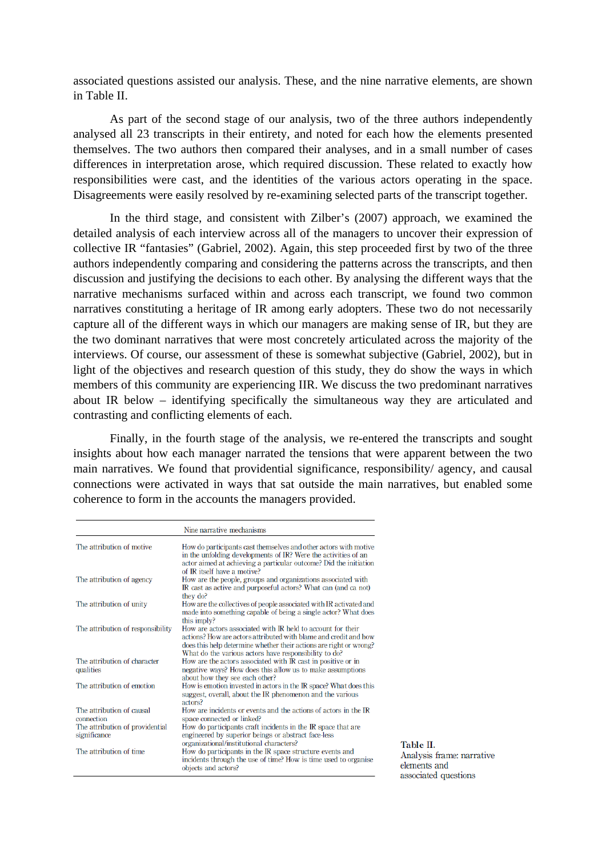associated questions assisted our analysis. These, and the nine narrative elements, are shown in Table II.

As part of the second stage of our analysis, two of the three authors independently analysed all 23 transcripts in their entirety, and noted for each how the elements presented themselves. The two authors then compared their analyses, and in a small number of cases differences in interpretation arose, which required discussion. These related to exactly how responsibilities were cast, and the identities of the various actors operating in the space. Disagreements were easily resolved by re-examining selected parts of the transcript together.

In the third stage, and consistent with Zilber's (2007) approach, we examined the detailed analysis of each interview across all of the managers to uncover their expression of collective IR "fantasies" (Gabriel, 2002). Again, this step proceeded first by two of the three authors independently comparing and considering the patterns across the transcripts, and then discussion and justifying the decisions to each other. By analysing the different ways that the narrative mechanisms surfaced within and across each transcript, we found two common narratives constituting a heritage of IR among early adopters. These two do not necessarily capture all of the different ways in which our managers are making sense of IR, but they are the two dominant narratives that were most concretely articulated across the majority of the interviews. Of course, our assessment of these is somewhat subjective (Gabriel, 2002), but in light of the objectives and research question of this study, they do show the ways in which members of this community are experiencing IIR. We discuss the two predominant narratives about IR below – identifying specifically the simultaneous way they are articulated and contrasting and conflicting elements of each.

Finally, in the fourth stage of the analysis, we re-entered the transcripts and sought insights about how each manager narrated the tensions that were apparent between the two main narratives. We found that providential significance, responsibility/ agency, and causal connections were activated in ways that sat outside the main narratives, but enabled some coherence to form in the accounts the managers provided.

| Nine narrative mechanisms                       |                                                                                                                                                                                                                                                                |  |  |  |
|-------------------------------------------------|----------------------------------------------------------------------------------------------------------------------------------------------------------------------------------------------------------------------------------------------------------------|--|--|--|
| The attribution of motive                       | How do participants cast themselves and other actors with motive<br>in the unfolding developments of IR? Were the activities of an<br>actor aimed at achieving a particular outcome? Did the initiation                                                        |  |  |  |
| The attribution of agency                       | of IR itself have a motive?<br>How are the people, groups and organizations associated with<br>IR cast as active and purposeful actors? What can (and ca not)<br>they do?                                                                                      |  |  |  |
| The attribution of unity                        | How are the collectives of people associated with IR activated and<br>made into something capable of being a single actor? What does<br>this imply?                                                                                                            |  |  |  |
| The attribution of responsibility               | How are actors associated with IR held to account for their<br>actions? How are actors attributed with blame and credit and how<br>does this help determine whether their actions are right or wrong?<br>What do the various actors have responsibility to do? |  |  |  |
| The attribution of character<br>qualities       | How are the actors associated with IR cast in positive or in<br>negative ways? How does this allow us to make assumptions<br>about how they see each other?                                                                                                    |  |  |  |
| The attribution of emotion                      | How is emotion invested in actors in the IR space? What does this<br>suggest, overall, about the IR phenomenon and the various<br>actors?                                                                                                                      |  |  |  |
| The attribution of causal<br>connection         | How are incidents or events and the actions of actors in the IR<br>space connected or linked?                                                                                                                                                                  |  |  |  |
| The attribution of providential<br>significance | How do participants craft incidents in the IR space that are<br>engineered by superior beings or abstract face-less<br>organizational/institutional characters?                                                                                                |  |  |  |
| The attribution of time                         | How do participants in the IR space structure events and<br>incidents through the use of time? How is time used to organise<br>objects and actors?                                                                                                             |  |  |  |

Table II. Analysis frame: narrative elements and associated questions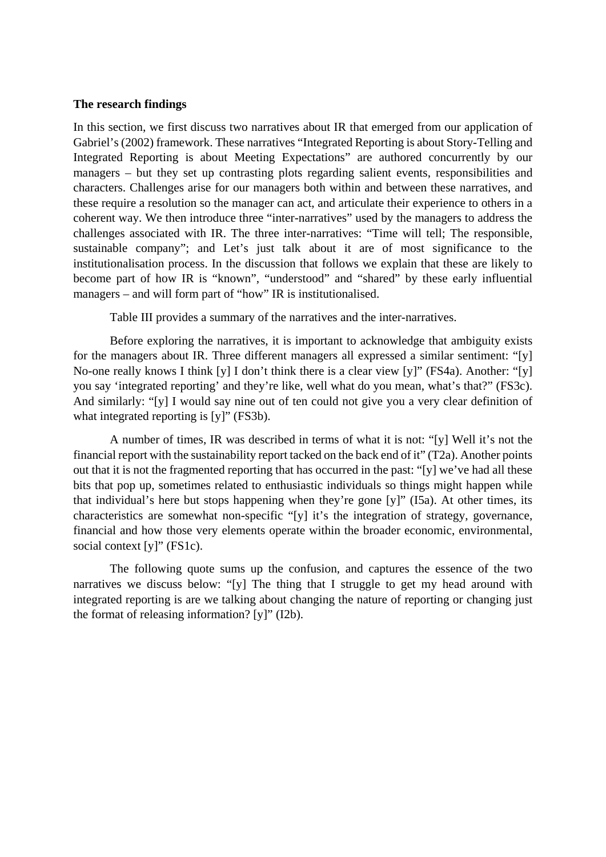#### **The research findings**

In this section, we first discuss two narratives about IR that emerged from our application of Gabriel's (2002) framework. These narratives "Integrated Reporting is about Story-Telling and Integrated Reporting is about Meeting Expectations" are authored concurrently by our managers – but they set up contrasting plots regarding salient events, responsibilities and characters. Challenges arise for our managers both within and between these narratives, and these require a resolution so the manager can act, and articulate their experience to others in a coherent way. We then introduce three "inter-narratives" used by the managers to address the challenges associated with IR. The three inter-narratives: "Time will tell; The responsible, sustainable company"; and Let's just talk about it are of most significance to the institutionalisation process. In the discussion that follows we explain that these are likely to become part of how IR is "known", "understood" and "shared" by these early influential managers – and will form part of "how" IR is institutionalised.

Table III provides a summary of the narratives and the inter-narratives.

Before exploring the narratives, it is important to acknowledge that ambiguity exists for the managers about IR. Three different managers all expressed a similar sentiment: "[y] No-one really knows I think [y] I don't think there is a clear view [y]" (FS4a). Another: "[y] you say 'integrated reporting' and they're like, well what do you mean, what's that?" (FS3c). And similarly: "[y] I would say nine out of ten could not give you a very clear definition of what integrated reporting is [y]" (FS3b).

A number of times, IR was described in terms of what it is not: "[y] Well it's not the financial report with the sustainability report tacked on the back end of it" (T2a). Another points out that it is not the fragmented reporting that has occurred in the past: "[y] we've had all these bits that pop up, sometimes related to enthusiastic individuals so things might happen while that individual's here but stops happening when they're gone [y]" (I5a). At other times, its characteristics are somewhat non-specific "[y] it's the integration of strategy, governance, financial and how those very elements operate within the broader economic, environmental, social context [y]" (FS1c).

The following quote sums up the confusion, and captures the essence of the two narratives we discuss below: "[y] The thing that I struggle to get my head around with integrated reporting is are we talking about changing the nature of reporting or changing just the format of releasing information? [y]" (I2b).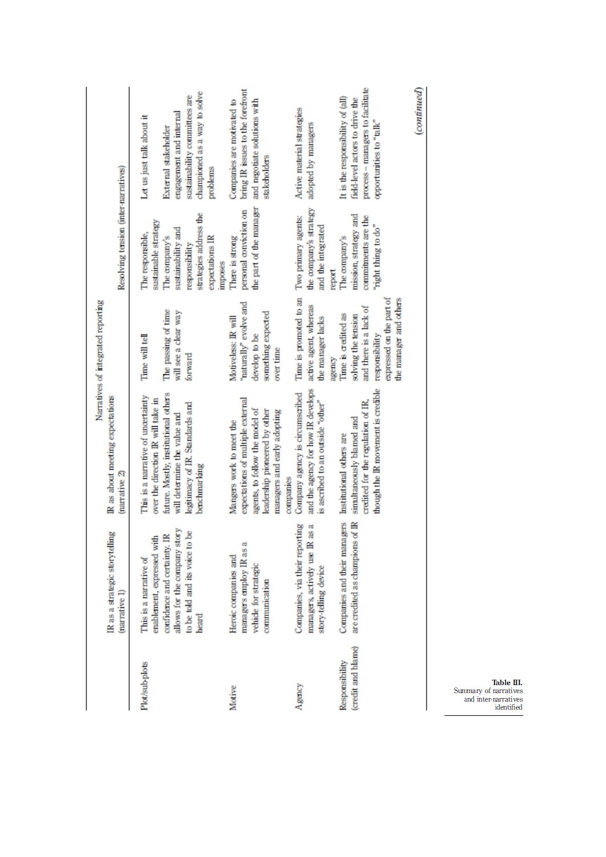|                                                   | championed as a way to solve<br>sustainability committees are<br>engagement and internal<br>Let us just talk about it<br>External stakeholder<br>problems                                            | bring IR issues to the forefront<br>and negotiate solutions with<br>Companies are motivated to<br>stakeholders                                                               | Active material strategies<br>adopted by managers                                                          | process - managers to facilitate<br>It is the responsibility of (all)<br>field-level actors to drive the<br>opportunities to "talk"          | (continued) |
|---------------------------------------------------|------------------------------------------------------------------------------------------------------------------------------------------------------------------------------------------------------|------------------------------------------------------------------------------------------------------------------------------------------------------------------------------|------------------------------------------------------------------------------------------------------------|----------------------------------------------------------------------------------------------------------------------------------------------|-------------|
| Resolving tension (inter-narratives)              | strategies address the<br>sustainable strategy<br>sustainability and<br>The responsible,<br>The company's<br>expectations IR<br>responsibility<br>imposes                                            | the part of the manager<br>personal conviction on<br>There is strong                                                                                                         | the company's strategy<br>Two primary agents:<br>and the integrated<br>report                              | mission, strategy and<br>commitments are the<br>"right thing to do"<br>The company's                                                         |             |
| Narratives of integrated reporting                | The passing of time<br>will see a clear way<br>Time will tell<br>forward                                                                                                                             | "naturally" evolve and<br>something expected<br>Motiveless: IR will<br>develop to be<br>over time                                                                            | Time is promoted to an<br>active agent, whereas<br>the manager lacks<br>agency                             | expressed on the part of<br>the manager and others<br>and there is a lack of<br>Time is credited as<br>solving the tension<br>responsibility |             |
| IR as about meeting expectations<br>(narrative 2) | future. Mostly, institutional others<br>This is a narrative of uncertainty<br>over the direction IR will take in<br>legitimacy of IR. Standards and<br>will determine the value and<br>benchmar king | expectations of multiple external<br>agents, to follow the model of<br>leadership pioneered by other<br>managers and early adopting<br>Mangers work to meet the<br>companies | and the agency for how IR develops<br>Company agency is circumscribed<br>is ascribed to an outside "other" | though the IR movement is credible<br>credited for the regulation of IR,<br>simultaneously blamed and<br>Institutional others are            |             |
| IR as a strategic storytelling<br>(narrative 1)   | allows for the company story<br>to be told and its voice to be<br>염<br>enablement, expressed with<br>confidence and certainty. I<br>This is a narrative of<br>heard                                  | managers employ IR as a<br>Heroic companies and<br>vehicle for strategic<br>communication                                                                                    | Companies, via their reporting<br>as a<br>managers, actively use IR<br>story-telling device                | Companies and their managers<br>of IR<br>are credited as champions                                                                           |             |
|                                                   | Plot/sub-plots                                                                                                                                                                                       | Motive                                                                                                                                                                       | Agency                                                                                                     | (credit and blame)<br>Responsibility                                                                                                         |             |

Table III.<br>Summary of narratives<br>and inter-narratives<br>identified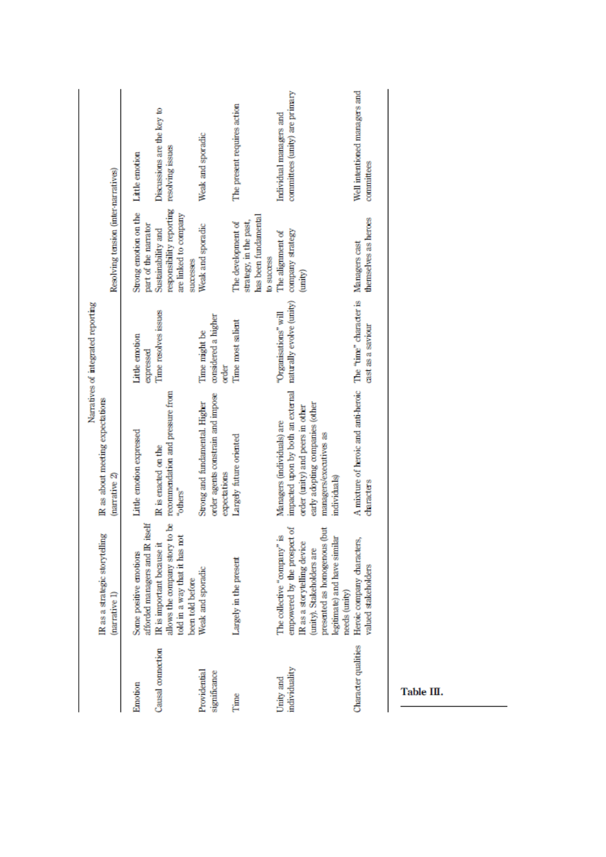|                                                   | Little emotion                                            | Discussions are the key to<br>resolving issues                                                                   | Weak and sporadic                                                                   | The present requires action                                                        | committees (unity) are primary<br>Individual managers and                                                                                                                                                   | Well intentioned managers and<br>committees       |
|---------------------------------------------------|-----------------------------------------------------------|------------------------------------------------------------------------------------------------------------------|-------------------------------------------------------------------------------------|------------------------------------------------------------------------------------|-------------------------------------------------------------------------------------------------------------------------------------------------------------------------------------------------------------|---------------------------------------------------|
| Resolving tension (inter-narratives)              | Strong emotion on the<br>part of the narrator             | responsibility reporting<br>are linked to company<br>Sustainability and<br>successes                             | Weak and sporadic                                                                   | has been fundamental<br>strategy, in the past,<br>The development of<br>to success | company strategy<br>The alignment of<br>(unity)                                                                                                                                                             | themselves as heroes<br>Managers cast             |
| Narratives of integrated reporting                | Little emotion<br>expressed                               | Time resolves issues                                                                                             | considered a higher<br>Time might be<br>order                                       | Time most salient                                                                  | naturally evolve (unity)<br>"Organisations" will                                                                                                                                                            | The "time" character is<br>cast as a saviour      |
| IR as about meeting expectations<br>(narrative 2) | Little emotion expressed                                  | recommendation and pressure from<br>IR is enacted on the<br>"others"                                             | order agents constrain and impose<br>Strong and fundamental. Higher<br>expectations | Largely future oriented                                                            | impacted upon by both an external<br>early adopting companies (other<br>order (unity) and peers in other<br>Managers (individuals) are<br>managers/executives as<br>individuals)                            | A mixture of heroic and anti-heroic<br>characters |
| IR as a strategic storytelling<br>(narrative 1)   | afforded managers and IR itself<br>Some positive emotions | allows the company story to be<br>told in a way that it has not<br>IR is important because i<br>been told before | Weak and sporadic                                                                   | Largely in the present                                                             | empowered by the prospect of<br>presented as homogenous (but<br>은.<br>legitimate) and have similar<br>IR as a storytelling device<br>The collective "company"<br>(unity). Stakeholders are<br>needs (unity) | Heroic company characters,<br>valued stakeholders |
|                                                   | Emotion                                                   | Causal connection                                                                                                | Providential<br>significance                                                        | Time                                                                               | individuality<br>Unity and                                                                                                                                                                                  | Character qualities                               |

Table III.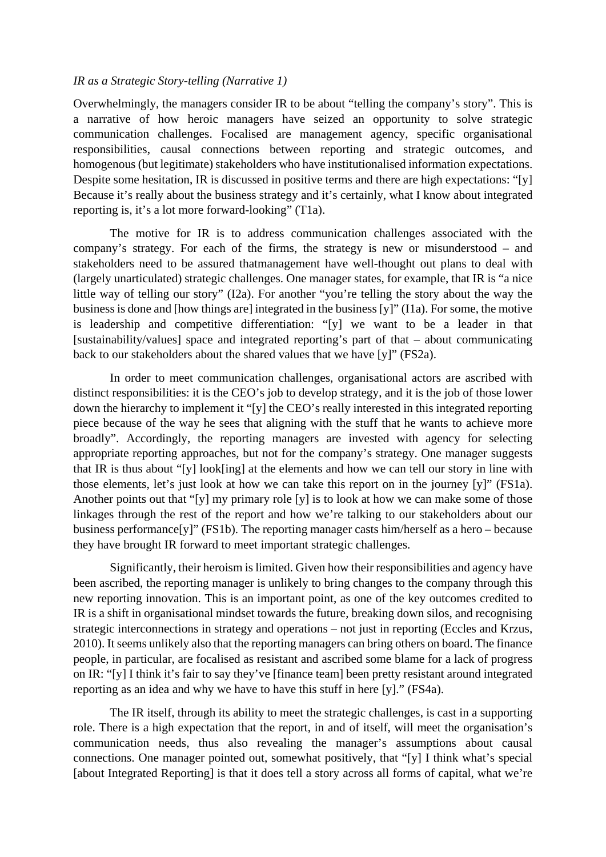## *IR as a Strategic Story-telling (Narrative 1)*

Overwhelmingly, the managers consider IR to be about "telling the company's story". This is a narrative of how heroic managers have seized an opportunity to solve strategic communication challenges. Focalised are management agency, specific organisational responsibilities, causal connections between reporting and strategic outcomes, and homogenous (but legitimate) stakeholders who have institutionalised information expectations. Despite some hesitation, IR is discussed in positive terms and there are high expectations: "[y] Because it's really about the business strategy and it's certainly, what I know about integrated reporting is, it's a lot more forward-looking" (T1a).

The motive for IR is to address communication challenges associated with the company's strategy. For each of the firms, the strategy is new or misunderstood – and stakeholders need to be assured thatmanagement have well-thought out plans to deal with (largely unarticulated) strategic challenges. One manager states, for example, that IR is "a nice little way of telling our story" (I2a). For another "you're telling the story about the way the business is done and [how things are] integrated in the business [y]" (I1a). For some, the motive is leadership and competitive differentiation: "[y] we want to be a leader in that [sustainability/values] space and integrated reporting's part of that – about communicating back to our stakeholders about the shared values that we have [y]" (FS2a).

In order to meet communication challenges, organisational actors are ascribed with distinct responsibilities: it is the CEO's job to develop strategy, and it is the job of those lower down the hierarchy to implement it "[y] the CEO's really interested in this integrated reporting piece because of the way he sees that aligning with the stuff that he wants to achieve more broadly". Accordingly, the reporting managers are invested with agency for selecting appropriate reporting approaches, but not for the company's strategy. One manager suggests that IR is thus about "[y] look[ing] at the elements and how we can tell our story in line with those elements, let's just look at how we can take this report on in the journey [y]" (FS1a). Another points out that "[y] my primary role [y] is to look at how we can make some of those linkages through the rest of the report and how we're talking to our stakeholders about our business performance[y]" (FS1b). The reporting manager casts him/herself as a hero – because they have brought IR forward to meet important strategic challenges.

Significantly, their heroism is limited. Given how their responsibilities and agency have been ascribed, the reporting manager is unlikely to bring changes to the company through this new reporting innovation. This is an important point, as one of the key outcomes credited to IR is a shift in organisational mindset towards the future, breaking down silos, and recognising strategic interconnections in strategy and operations – not just in reporting (Eccles and Krzus, 2010). It seems unlikely also that the reporting managers can bring others on board. The finance people, in particular, are focalised as resistant and ascribed some blame for a lack of progress on IR: "[y] I think it's fair to say they've [finance team] been pretty resistant around integrated reporting as an idea and why we have to have this stuff in here [y]." (FS4a).

The IR itself, through its ability to meet the strategic challenges, is cast in a supporting role. There is a high expectation that the report, in and of itself, will meet the organisation's communication needs, thus also revealing the manager's assumptions about causal connections. One manager pointed out, somewhat positively, that "[y] I think what's special [about Integrated Reporting] is that it does tell a story across all forms of capital, what we're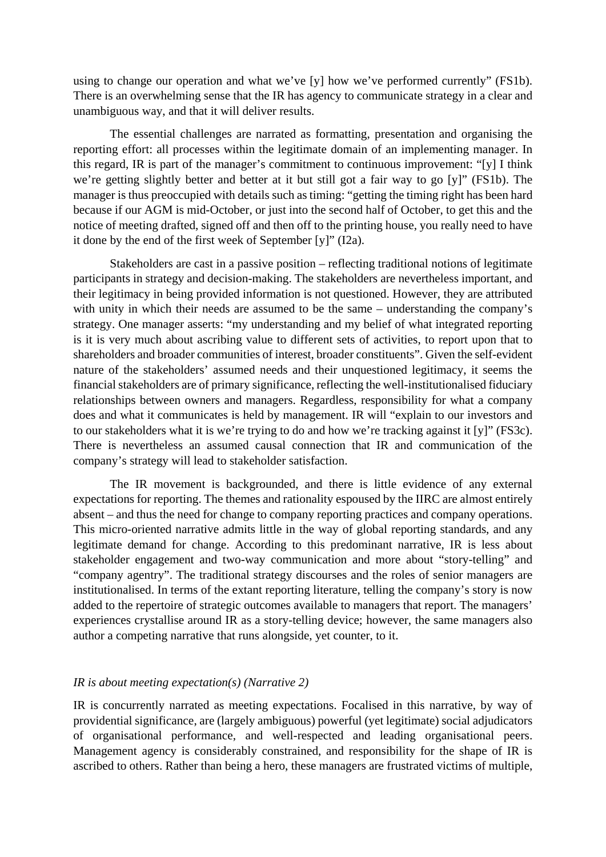using to change our operation and what we've [y] how we've performed currently" (FS1b). There is an overwhelming sense that the IR has agency to communicate strategy in a clear and unambiguous way, and that it will deliver results.

The essential challenges are narrated as formatting, presentation and organising the reporting effort: all processes within the legitimate domain of an implementing manager. In this regard, IR is part of the manager's commitment to continuous improvement: "[y] I think we're getting slightly better and better at it but still got a fair way to go [y]" (FS1b). The manager is thus preoccupied with details such as timing: "getting the timing right has been hard because if our AGM is mid-October, or just into the second half of October, to get this and the notice of meeting drafted, signed off and then off to the printing house, you really need to have it done by the end of the first week of September [y]" (I2a).

Stakeholders are cast in a passive position – reflecting traditional notions of legitimate participants in strategy and decision-making. The stakeholders are nevertheless important, and their legitimacy in being provided information is not questioned. However, they are attributed with unity in which their needs are assumed to be the same – understanding the company's strategy. One manager asserts: "my understanding and my belief of what integrated reporting is it is very much about ascribing value to different sets of activities, to report upon that to shareholders and broader communities of interest, broader constituents". Given the self-evident nature of the stakeholders' assumed needs and their unquestioned legitimacy, it seems the financial stakeholders are of primary significance, reflecting the well-institutionalised fiduciary relationships between owners and managers. Regardless, responsibility for what a company does and what it communicates is held by management. IR will "explain to our investors and to our stakeholders what it is we're trying to do and how we're tracking against it [y]" (FS3c). There is nevertheless an assumed causal connection that IR and communication of the company's strategy will lead to stakeholder satisfaction.

The IR movement is backgrounded, and there is little evidence of any external expectations for reporting. The themes and rationality espoused by the IIRC are almost entirely absent – and thus the need for change to company reporting practices and company operations. This micro-oriented narrative admits little in the way of global reporting standards, and any legitimate demand for change. According to this predominant narrative, IR is less about stakeholder engagement and two-way communication and more about "story-telling" and "company agentry". The traditional strategy discourses and the roles of senior managers are institutionalised. In terms of the extant reporting literature, telling the company's story is now added to the repertoire of strategic outcomes available to managers that report. The managers' experiences crystallise around IR as a story-telling device; however, the same managers also author a competing narrative that runs alongside, yet counter, to it.

#### *IR is about meeting expectation(s) (Narrative 2)*

IR is concurrently narrated as meeting expectations. Focalised in this narrative, by way of providential significance, are (largely ambiguous) powerful (yet legitimate) social adjudicators of organisational performance, and well-respected and leading organisational peers. Management agency is considerably constrained, and responsibility for the shape of IR is ascribed to others. Rather than being a hero, these managers are frustrated victims of multiple,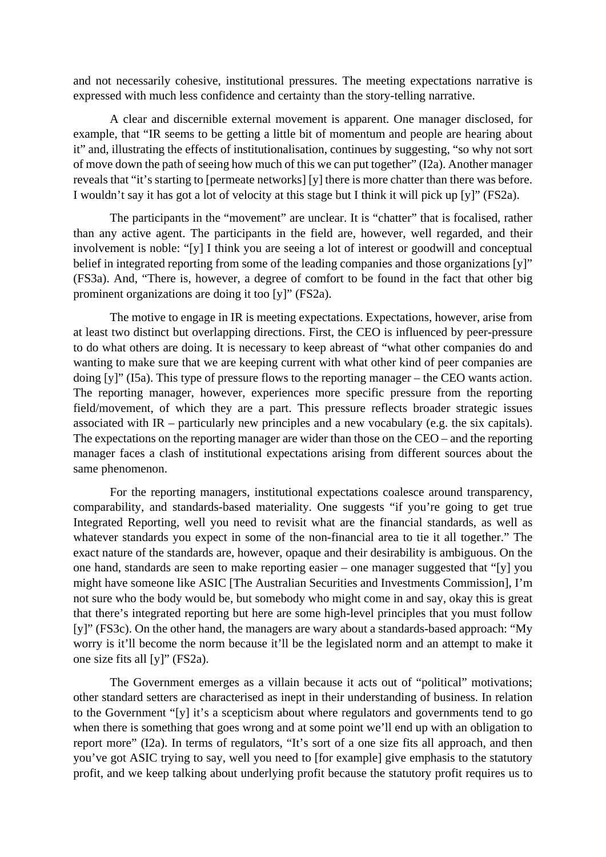and not necessarily cohesive, institutional pressures. The meeting expectations narrative is expressed with much less confidence and certainty than the story-telling narrative.

A clear and discernible external movement is apparent. One manager disclosed, for example, that "IR seems to be getting a little bit of momentum and people are hearing about it" and, illustrating the effects of institutionalisation, continues by suggesting, "so why not sort of move down the path of seeing how much of this we can put together" (I2a). Another manager reveals that "it's starting to [permeate networks] [y] there is more chatter than there was before. I wouldn't say it has got a lot of velocity at this stage but I think it will pick up [y]" (FS2a).

The participants in the "movement" are unclear. It is "chatter" that is focalised, rather than any active agent. The participants in the field are, however, well regarded, and their involvement is noble: "[y] I think you are seeing a lot of interest or goodwill and conceptual belief in integrated reporting from some of the leading companies and those organizations [y]" (FS3a). And, "There is, however, a degree of comfort to be found in the fact that other big prominent organizations are doing it too [y]" (FS2a).

The motive to engage in IR is meeting expectations. Expectations, however, arise from at least two distinct but overlapping directions. First, the CEO is influenced by peer-pressure to do what others are doing. It is necessary to keep abreast of "what other companies do and wanting to make sure that we are keeping current with what other kind of peer companies are doing [y]" (I5a). This type of pressure flows to the reporting manager – the CEO wants action. The reporting manager, however, experiences more specific pressure from the reporting field/movement, of which they are a part. This pressure reflects broader strategic issues associated with IR – particularly new principles and a new vocabulary (e.g. the six capitals). The expectations on the reporting manager are wider than those on the CEO – and the reporting manager faces a clash of institutional expectations arising from different sources about the same phenomenon.

For the reporting managers, institutional expectations coalesce around transparency, comparability, and standards-based materiality. One suggests "if you're going to get true Integrated Reporting, well you need to revisit what are the financial standards, as well as whatever standards you expect in some of the non-financial area to tie it all together." The exact nature of the standards are, however, opaque and their desirability is ambiguous. On the one hand, standards are seen to make reporting easier – one manager suggested that "[y] you might have someone like ASIC [The Australian Securities and Investments Commission], I'm not sure who the body would be, but somebody who might come in and say, okay this is great that there's integrated reporting but here are some high-level principles that you must follow [y]" (FS3c). On the other hand, the managers are wary about a standards-based approach: "My worry is it'll become the norm because it'll be the legislated norm and an attempt to make it one size fits all [y]" (FS2a).

The Government emerges as a villain because it acts out of "political" motivations; other standard setters are characterised as inept in their understanding of business. In relation to the Government "[y] it's a scepticism about where regulators and governments tend to go when there is something that goes wrong and at some point we'll end up with an obligation to report more" (I2a). In terms of regulators, "It's sort of a one size fits all approach, and then you've got ASIC trying to say, well you need to [for example] give emphasis to the statutory profit, and we keep talking about underlying profit because the statutory profit requires us to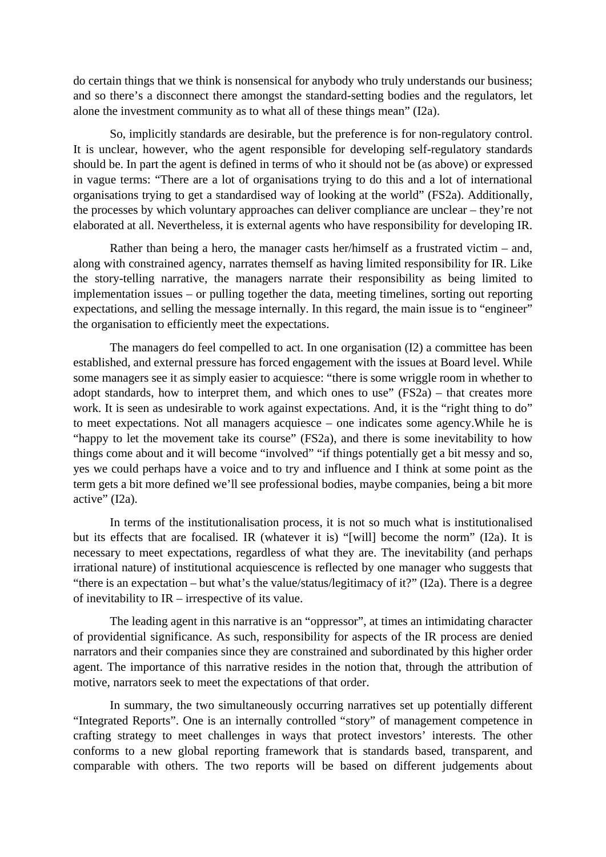do certain things that we think is nonsensical for anybody who truly understands our business; and so there's a disconnect there amongst the standard-setting bodies and the regulators, let alone the investment community as to what all of these things mean" (I2a).

So, implicitly standards are desirable, but the preference is for non-regulatory control. It is unclear, however, who the agent responsible for developing self-regulatory standards should be. In part the agent is defined in terms of who it should not be (as above) or expressed in vague terms: "There are a lot of organisations trying to do this and a lot of international organisations trying to get a standardised way of looking at the world" (FS2a). Additionally, the processes by which voluntary approaches can deliver compliance are unclear – they're not elaborated at all. Nevertheless, it is external agents who have responsibility for developing IR.

Rather than being a hero, the manager casts her/himself as a frustrated victim – and, along with constrained agency, narrates themself as having limited responsibility for IR. Like the story-telling narrative, the managers narrate their responsibility as being limited to implementation issues – or pulling together the data, meeting timelines, sorting out reporting expectations, and selling the message internally. In this regard, the main issue is to "engineer" the organisation to efficiently meet the expectations.

The managers do feel compelled to act. In one organisation (I2) a committee has been established, and external pressure has forced engagement with the issues at Board level. While some managers see it as simply easier to acquiesce: "there is some wriggle room in whether to adopt standards, how to interpret them, and which ones to use" (FS2a) – that creates more work. It is seen as undesirable to work against expectations. And, it is the "right thing to do" to meet expectations. Not all managers acquiesce – one indicates some agency.While he is "happy to let the movement take its course" (FS2a), and there is some inevitability to how things come about and it will become "involved" "if things potentially get a bit messy and so, yes we could perhaps have a voice and to try and influence and I think at some point as the term gets a bit more defined we'll see professional bodies, maybe companies, being a bit more active" (I2a).

In terms of the institutionalisation process, it is not so much what is institutionalised but its effects that are focalised. IR (whatever it is) "[will] become the norm" (I2a). It is necessary to meet expectations, regardless of what they are. The inevitability (and perhaps irrational nature) of institutional acquiescence is reflected by one manager who suggests that "there is an expectation – but what's the value/status/legitimacy of it?" (I2a). There is a degree of inevitability to IR – irrespective of its value.

The leading agent in this narrative is an "oppressor", at times an intimidating character of providential significance. As such, responsibility for aspects of the IR process are denied narrators and their companies since they are constrained and subordinated by this higher order agent. The importance of this narrative resides in the notion that, through the attribution of motive, narrators seek to meet the expectations of that order.

In summary, the two simultaneously occurring narratives set up potentially different "Integrated Reports". One is an internally controlled "story" of management competence in crafting strategy to meet challenges in ways that protect investors' interests. The other conforms to a new global reporting framework that is standards based, transparent, and comparable with others. The two reports will be based on different judgements about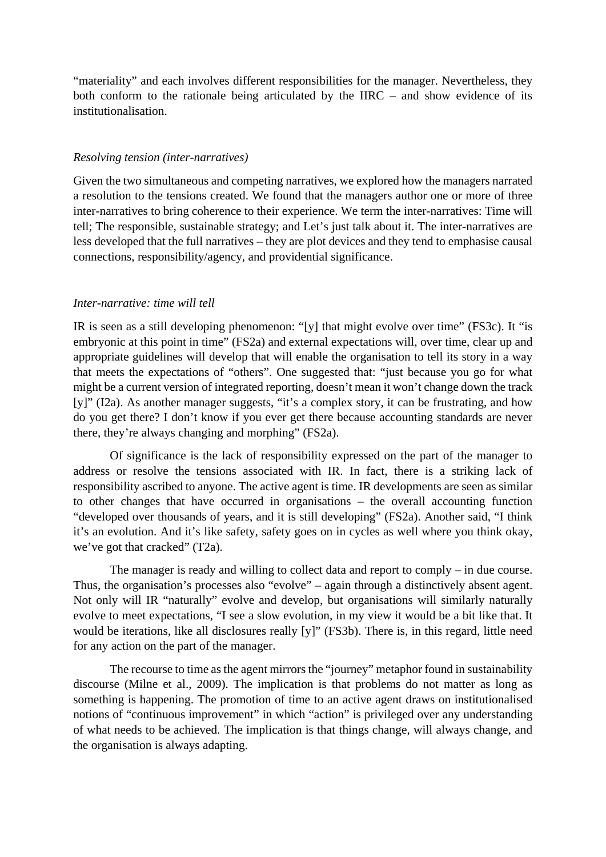"materiality" and each involves different responsibilities for the manager. Nevertheless, they both conform to the rationale being articulated by the IIRC – and show evidence of its institutionalisation.

## *Resolving tension (inter-narratives)*

Given the two simultaneous and competing narratives, we explored how the managers narrated a resolution to the tensions created. We found that the managers author one or more of three inter-narratives to bring coherence to their experience. We term the inter-narratives: Time will tell; The responsible, sustainable strategy; and Let's just talk about it. The inter-narratives are less developed that the full narratives – they are plot devices and they tend to emphasise causal connections, responsibility/agency, and providential significance.

# *Inter-narrative: time will tell*

IR is seen as a still developing phenomenon: "[y] that might evolve over time" (FS3c). It "is embryonic at this point in time" (FS2a) and external expectations will, over time, clear up and appropriate guidelines will develop that will enable the organisation to tell its story in a way that meets the expectations of "others". One suggested that: "just because you go for what might be a current version of integrated reporting, doesn't mean it won't change down the track [y]" (I2a). As another manager suggests, "it's a complex story, it can be frustrating, and how do you get there? I don't know if you ever get there because accounting standards are never there, they're always changing and morphing" (FS2a).

Of significance is the lack of responsibility expressed on the part of the manager to address or resolve the tensions associated with IR. In fact, there is a striking lack of responsibility ascribed to anyone. The active agent is time. IR developments are seen as similar to other changes that have occurred in organisations – the overall accounting function "developed over thousands of years, and it is still developing" (FS2a). Another said, "I think it's an evolution. And it's like safety, safety goes on in cycles as well where you think okay, we've got that cracked" (T2a).

The manager is ready and willing to collect data and report to comply – in due course. Thus, the organisation's processes also "evolve" – again through a distinctively absent agent. Not only will IR "naturally" evolve and develop, but organisations will similarly naturally evolve to meet expectations, "I see a slow evolution, in my view it would be a bit like that. It would be iterations, like all disclosures really [y]" (FS3b). There is, in this regard, little need for any action on the part of the manager.

The recourse to time as the agent mirrors the "journey" metaphor found in sustainability discourse (Milne et al., 2009). The implication is that problems do not matter as long as something is happening. The promotion of time to an active agent draws on institutionalised notions of "continuous improvement" in which "action" is privileged over any understanding of what needs to be achieved. The implication is that things change, will always change, and the organisation is always adapting.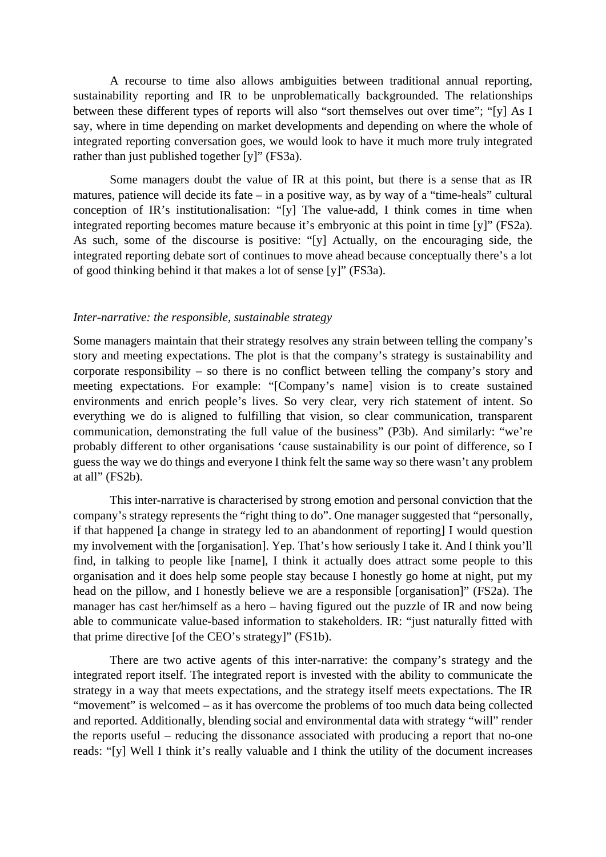A recourse to time also allows ambiguities between traditional annual reporting, sustainability reporting and IR to be unproblematically backgrounded. The relationships between these different types of reports will also "sort themselves out over time"; "[y] As I say, where in time depending on market developments and depending on where the whole of integrated reporting conversation goes, we would look to have it much more truly integrated rather than just published together [y]" (FS3a).

Some managers doubt the value of IR at this point, but there is a sense that as IR matures, patience will decide its fate – in a positive way, as by way of a "time-heals" cultural conception of IR's institutionalisation: "[y] The value-add, I think comes in time when integrated reporting becomes mature because it's embryonic at this point in time [y]" (FS2a). As such, some of the discourse is positive: "[y] Actually, on the encouraging side, the integrated reporting debate sort of continues to move ahead because conceptually there's a lot of good thinking behind it that makes a lot of sense [y]" (FS3a).

#### *Inter-narrative: the responsible, sustainable strategy*

Some managers maintain that their strategy resolves any strain between telling the company's story and meeting expectations. The plot is that the company's strategy is sustainability and corporate responsibility – so there is no conflict between telling the company's story and meeting expectations. For example: "[Company's name] vision is to create sustained environments and enrich people's lives. So very clear, very rich statement of intent. So everything we do is aligned to fulfilling that vision, so clear communication, transparent communication, demonstrating the full value of the business" (P3b). And similarly: "we're probably different to other organisations 'cause sustainability is our point of difference, so I guess the way we do things and everyone I think felt the same way so there wasn't any problem at all" (FS2b).

This inter-narrative is characterised by strong emotion and personal conviction that the company's strategy represents the "right thing to do". One manager suggested that "personally, if that happened [a change in strategy led to an abandonment of reporting] I would question my involvement with the [organisation]. Yep. That's how seriously I take it. And I think you'll find, in talking to people like [name], I think it actually does attract some people to this organisation and it does help some people stay because I honestly go home at night, put my head on the pillow, and I honestly believe we are a responsible [organisation]" (FS2a). The manager has cast her/himself as a hero – having figured out the puzzle of IR and now being able to communicate value-based information to stakeholders. IR: "just naturally fitted with that prime directive [of the CEO's strategy]" (FS1b).

There are two active agents of this inter-narrative: the company's strategy and the integrated report itself. The integrated report is invested with the ability to communicate the strategy in a way that meets expectations, and the strategy itself meets expectations. The IR "movement" is welcomed – as it has overcome the problems of too much data being collected and reported. Additionally, blending social and environmental data with strategy "will" render the reports useful – reducing the dissonance associated with producing a report that no-one reads: "[y] Well I think it's really valuable and I think the utility of the document increases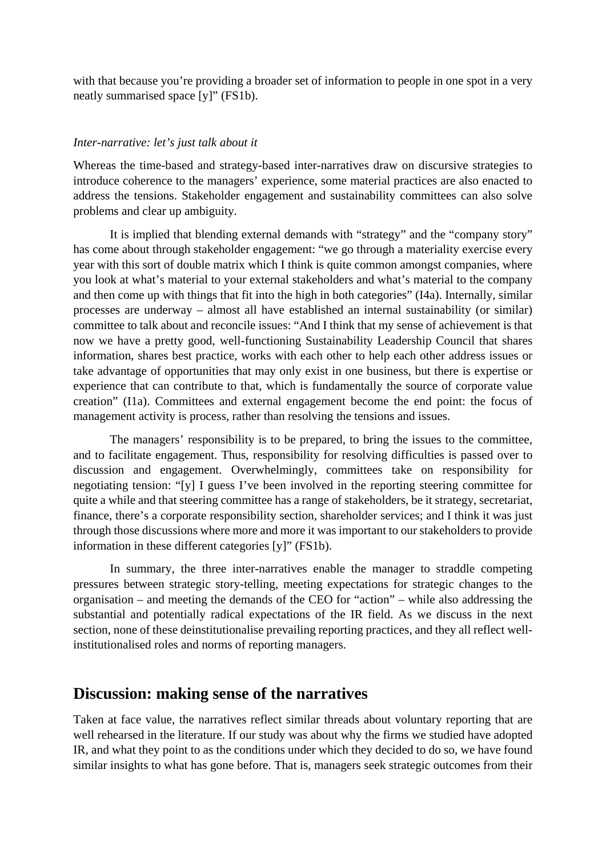with that because you're providing a broader set of information to people in one spot in a very neatly summarised space [y]" (FS1b).

#### *Inter-narrative: let's just talk about it*

Whereas the time-based and strategy-based inter-narratives draw on discursive strategies to introduce coherence to the managers' experience, some material practices are also enacted to address the tensions. Stakeholder engagement and sustainability committees can also solve problems and clear up ambiguity.

It is implied that blending external demands with "strategy" and the "company story" has come about through stakeholder engagement: "we go through a materiality exercise every year with this sort of double matrix which I think is quite common amongst companies, where you look at what's material to your external stakeholders and what's material to the company and then come up with things that fit into the high in both categories" (I4a). Internally, similar processes are underway – almost all have established an internal sustainability (or similar) committee to talk about and reconcile issues: "And I think that my sense of achievement is that now we have a pretty good, well-functioning Sustainability Leadership Council that shares information, shares best practice, works with each other to help each other address issues or take advantage of opportunities that may only exist in one business, but there is expertise or experience that can contribute to that, which is fundamentally the source of corporate value creation" (I1a). Committees and external engagement become the end point: the focus of management activity is process, rather than resolving the tensions and issues.

The managers' responsibility is to be prepared, to bring the issues to the committee, and to facilitate engagement. Thus, responsibility for resolving difficulties is passed over to discussion and engagement. Overwhelmingly, committees take on responsibility for negotiating tension: "[y] I guess I've been involved in the reporting steering committee for quite a while and that steering committee has a range of stakeholders, be it strategy, secretariat, finance, there's a corporate responsibility section, shareholder services; and I think it was just through those discussions where more and more it was important to our stakeholders to provide information in these different categories [y]" (FS1b).

In summary, the three inter-narratives enable the manager to straddle competing pressures between strategic story-telling, meeting expectations for strategic changes to the organisation – and meeting the demands of the CEO for "action" – while also addressing the substantial and potentially radical expectations of the IR field. As we discuss in the next section, none of these deinstitutionalise prevailing reporting practices, and they all reflect wellinstitutionalised roles and norms of reporting managers.

# **Discussion: making sense of the narratives**

Taken at face value, the narratives reflect similar threads about voluntary reporting that are well rehearsed in the literature. If our study was about why the firms we studied have adopted IR, and what they point to as the conditions under which they decided to do so, we have found similar insights to what has gone before. That is, managers seek strategic outcomes from their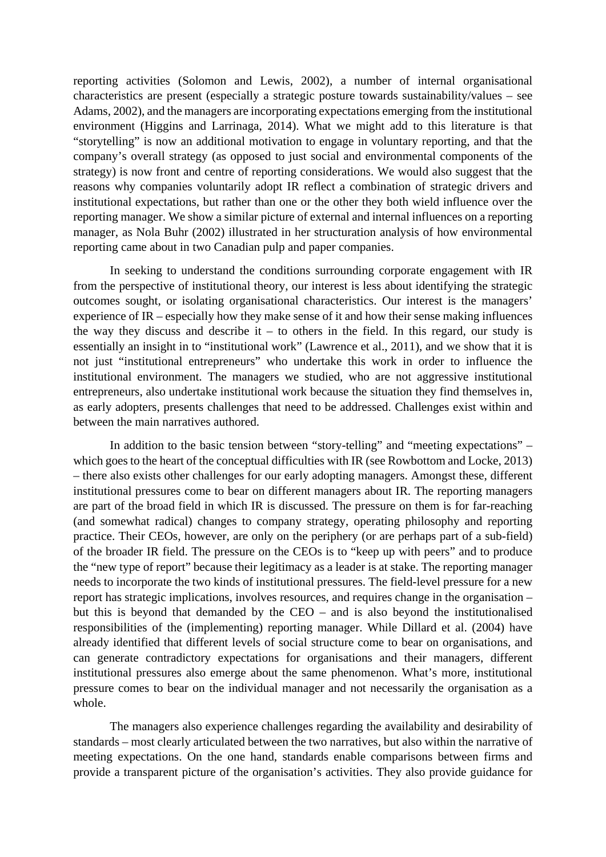reporting activities (Solomon and Lewis, 2002), a number of internal organisational characteristics are present (especially a strategic posture towards sustainability/values – see Adams, 2002), and the managers are incorporating expectations emerging from the institutional environment (Higgins and Larrinaga, 2014). What we might add to this literature is that "storytelling" is now an additional motivation to engage in voluntary reporting, and that the company's overall strategy (as opposed to just social and environmental components of the strategy) is now front and centre of reporting considerations. We would also suggest that the reasons why companies voluntarily adopt IR reflect a combination of strategic drivers and institutional expectations, but rather than one or the other they both wield influence over the reporting manager. We show a similar picture of external and internal influences on a reporting manager, as Nola Buhr (2002) illustrated in her structuration analysis of how environmental reporting came about in two Canadian pulp and paper companies.

In seeking to understand the conditions surrounding corporate engagement with IR from the perspective of institutional theory, our interest is less about identifying the strategic outcomes sought, or isolating organisational characteristics. Our interest is the managers' experience of IR – especially how they make sense of it and how their sense making influences the way they discuss and describe it – to others in the field. In this regard, our study is essentially an insight in to "institutional work" (Lawrence et al., 2011), and we show that it is not just "institutional entrepreneurs" who undertake this work in order to influence the institutional environment. The managers we studied, who are not aggressive institutional entrepreneurs, also undertake institutional work because the situation they find themselves in, as early adopters, presents challenges that need to be addressed. Challenges exist within and between the main narratives authored.

In addition to the basic tension between "story-telling" and "meeting expectations" – which goes to the heart of the conceptual difficulties with IR (see Rowbottom and Locke, 2013) – there also exists other challenges for our early adopting managers. Amongst these, different institutional pressures come to bear on different managers about IR. The reporting managers are part of the broad field in which IR is discussed. The pressure on them is for far-reaching (and somewhat radical) changes to company strategy, operating philosophy and reporting practice. Their CEOs, however, are only on the periphery (or are perhaps part of a sub-field) of the broader IR field. The pressure on the CEOs is to "keep up with peers" and to produce the "new type of report" because their legitimacy as a leader is at stake. The reporting manager needs to incorporate the two kinds of institutional pressures. The field-level pressure for a new report has strategic implications, involves resources, and requires change in the organisation – but this is beyond that demanded by the CEO – and is also beyond the institutionalised responsibilities of the (implementing) reporting manager. While Dillard et al. (2004) have already identified that different levels of social structure come to bear on organisations, and can generate contradictory expectations for organisations and their managers, different institutional pressures also emerge about the same phenomenon. What's more, institutional pressure comes to bear on the individual manager and not necessarily the organisation as a whole.

The managers also experience challenges regarding the availability and desirability of standards – most clearly articulated between the two narratives, but also within the narrative of meeting expectations. On the one hand, standards enable comparisons between firms and provide a transparent picture of the organisation's activities. They also provide guidance for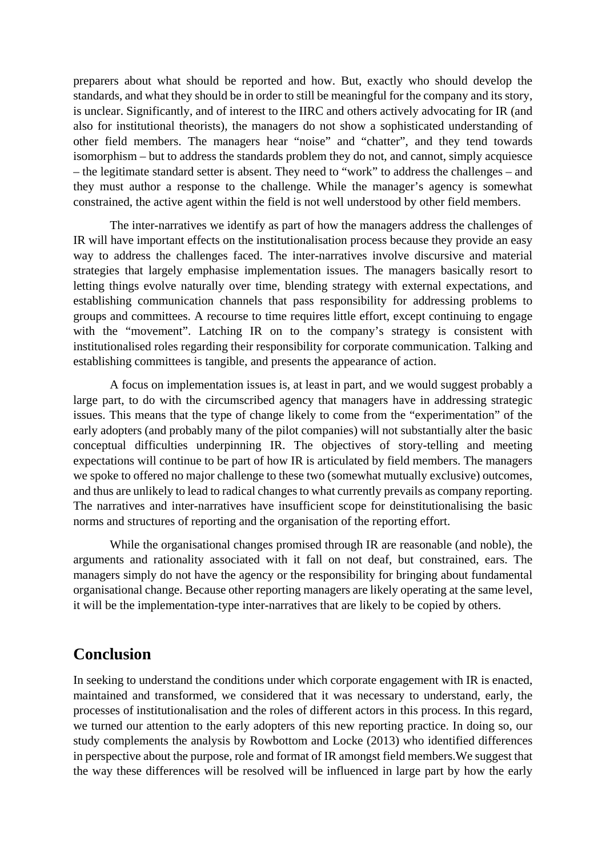preparers about what should be reported and how. But, exactly who should develop the standards, and what they should be in order to still be meaningful for the company and its story, is unclear. Significantly, and of interest to the IIRC and others actively advocating for IR (and also for institutional theorists), the managers do not show a sophisticated understanding of other field members. The managers hear "noise" and "chatter", and they tend towards isomorphism – but to address the standards problem they do not, and cannot, simply acquiesce – the legitimate standard setter is absent. They need to "work" to address the challenges – and they must author a response to the challenge. While the manager's agency is somewhat constrained, the active agent within the field is not well understood by other field members.

The inter-narratives we identify as part of how the managers address the challenges of IR will have important effects on the institutionalisation process because they provide an easy way to address the challenges faced. The inter-narratives involve discursive and material strategies that largely emphasise implementation issues. The managers basically resort to letting things evolve naturally over time, blending strategy with external expectations, and establishing communication channels that pass responsibility for addressing problems to groups and committees. A recourse to time requires little effort, except continuing to engage with the "movement". Latching IR on to the company's strategy is consistent with institutionalised roles regarding their responsibility for corporate communication. Talking and establishing committees is tangible, and presents the appearance of action.

A focus on implementation issues is, at least in part, and we would suggest probably a large part, to do with the circumscribed agency that managers have in addressing strategic issues. This means that the type of change likely to come from the "experimentation" of the early adopters (and probably many of the pilot companies) will not substantially alter the basic conceptual difficulties underpinning IR. The objectives of story-telling and meeting expectations will continue to be part of how IR is articulated by field members. The managers we spoke to offered no major challenge to these two (somewhat mutually exclusive) outcomes, and thus are unlikely to lead to radical changes to what currently prevails as company reporting. The narratives and inter-narratives have insufficient scope for deinstitutionalising the basic norms and structures of reporting and the organisation of the reporting effort.

While the organisational changes promised through IR are reasonable (and noble), the arguments and rationality associated with it fall on not deaf, but constrained, ears. The managers simply do not have the agency or the responsibility for bringing about fundamental organisational change. Because other reporting managers are likely operating at the same level, it will be the implementation-type inter-narratives that are likely to be copied by others.

# **Conclusion**

In seeking to understand the conditions under which corporate engagement with IR is enacted, maintained and transformed, we considered that it was necessary to understand, early, the processes of institutionalisation and the roles of different actors in this process. In this regard, we turned our attention to the early adopters of this new reporting practice. In doing so, our study complements the analysis by Rowbottom and Locke (2013) who identified differences in perspective about the purpose, role and format of IR amongst field members.We suggest that the way these differences will be resolved will be influenced in large part by how the early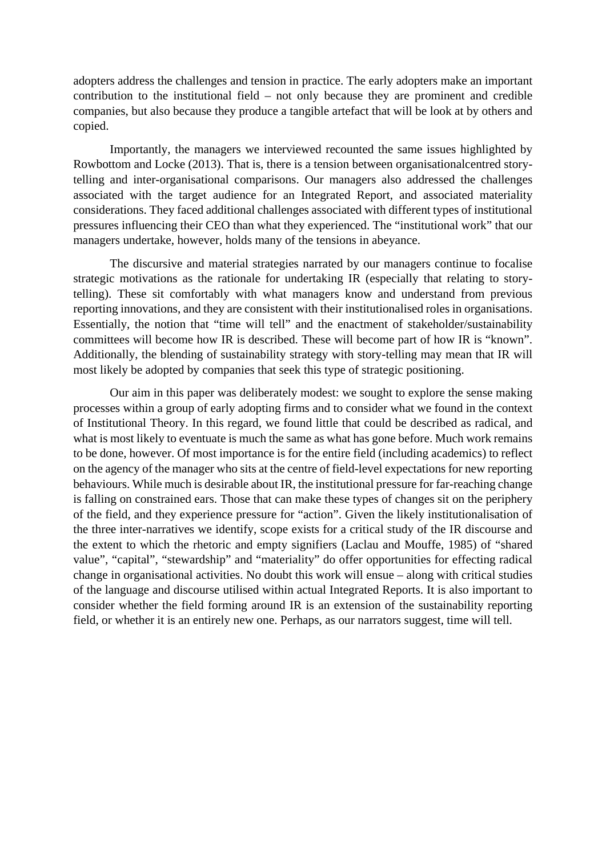adopters address the challenges and tension in practice. The early adopters make an important contribution to the institutional field – not only because they are prominent and credible companies, but also because they produce a tangible artefact that will be look at by others and copied.

Importantly, the managers we interviewed recounted the same issues highlighted by Rowbottom and Locke (2013). That is, there is a tension between organisationalcentred storytelling and inter-organisational comparisons. Our managers also addressed the challenges associated with the target audience for an Integrated Report, and associated materiality considerations. They faced additional challenges associated with different types of institutional pressures influencing their CEO than what they experienced. The "institutional work" that our managers undertake, however, holds many of the tensions in abeyance.

The discursive and material strategies narrated by our managers continue to focalise strategic motivations as the rationale for undertaking IR (especially that relating to storytelling). These sit comfortably with what managers know and understand from previous reporting innovations, and they are consistent with their institutionalised roles in organisations. Essentially, the notion that "time will tell" and the enactment of stakeholder/sustainability committees will become how IR is described. These will become part of how IR is "known". Additionally, the blending of sustainability strategy with story-telling may mean that IR will most likely be adopted by companies that seek this type of strategic positioning.

Our aim in this paper was deliberately modest: we sought to explore the sense making processes within a group of early adopting firms and to consider what we found in the context of Institutional Theory. In this regard, we found little that could be described as radical, and what is most likely to eventuate is much the same as what has gone before. Much work remains to be done, however. Of most importance is for the entire field (including academics) to reflect on the agency of the manager who sits at the centre of field-level expectations for new reporting behaviours. While much is desirable about IR, the institutional pressure for far-reaching change is falling on constrained ears. Those that can make these types of changes sit on the periphery of the field, and they experience pressure for "action". Given the likely institutionalisation of the three inter-narratives we identify, scope exists for a critical study of the IR discourse and the extent to which the rhetoric and empty signifiers (Laclau and Mouffe, 1985) of "shared value", "capital", "stewardship" and "materiality" do offer opportunities for effecting radical change in organisational activities. No doubt this work will ensue – along with critical studies of the language and discourse utilised within actual Integrated Reports. It is also important to consider whether the field forming around IR is an extension of the sustainability reporting field, or whether it is an entirely new one. Perhaps, as our narrators suggest, time will tell.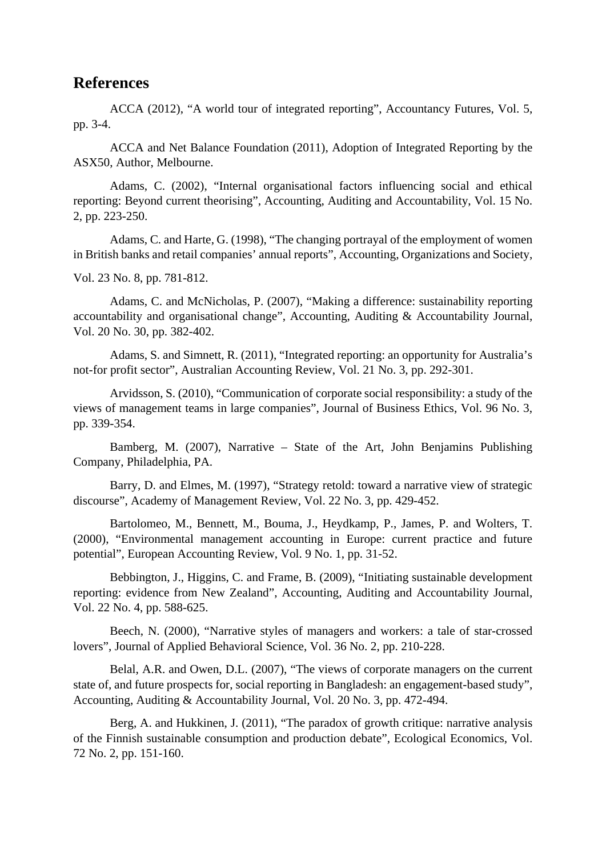# **References**

ACCA (2012), "A world tour of integrated reporting", Accountancy Futures, Vol. 5, pp. 3-4.

ACCA and Net Balance Foundation (2011), Adoption of Integrated Reporting by the ASX50, Author, Melbourne.

Adams, C. (2002), "Internal organisational factors influencing social and ethical reporting: Beyond current theorising", Accounting, Auditing and Accountability, Vol. 15 No. 2, pp. 223-250.

Adams, C. and Harte, G. (1998), "The changing portrayal of the employment of women in British banks and retail companies' annual reports", Accounting, Organizations and Society,

Vol. 23 No. 8, pp. 781-812.

Adams, C. and McNicholas, P. (2007), "Making a difference: sustainability reporting accountability and organisational change", Accounting, Auditing & Accountability Journal, Vol. 20 No. 30, pp. 382-402.

Adams, S. and Simnett, R. (2011), "Integrated reporting: an opportunity for Australia's not-for profit sector", Australian Accounting Review, Vol. 21 No. 3, pp. 292-301.

Arvidsson, S. (2010), "Communication of corporate social responsibility: a study of the views of management teams in large companies", Journal of Business Ethics, Vol. 96 No. 3, pp. 339-354.

Bamberg, M. (2007), Narrative – State of the Art, John Benjamins Publishing Company, Philadelphia, PA.

Barry, D. and Elmes, M. (1997), "Strategy retold: toward a narrative view of strategic discourse", Academy of Management Review, Vol. 22 No. 3, pp. 429-452.

Bartolomeo, M., Bennett, M., Bouma, J., Heydkamp, P., James, P. and Wolters, T. (2000), "Environmental management accounting in Europe: current practice and future potential", European Accounting Review, Vol. 9 No. 1, pp. 31-52.

Bebbington, J., Higgins, C. and Frame, B. (2009), "Initiating sustainable development reporting: evidence from New Zealand", Accounting, Auditing and Accountability Journal, Vol. 22 No. 4, pp. 588-625.

Beech, N. (2000), "Narrative styles of managers and workers: a tale of star-crossed lovers", Journal of Applied Behavioral Science, Vol. 36 No. 2, pp. 210-228.

Belal, A.R. and Owen, D.L. (2007), "The views of corporate managers on the current state of, and future prospects for, social reporting in Bangladesh: an engagement-based study", Accounting, Auditing & Accountability Journal, Vol. 20 No. 3, pp. 472-494.

Berg, A. and Hukkinen, J. (2011), "The paradox of growth critique: narrative analysis of the Finnish sustainable consumption and production debate", Ecological Economics, Vol. 72 No. 2, pp. 151-160.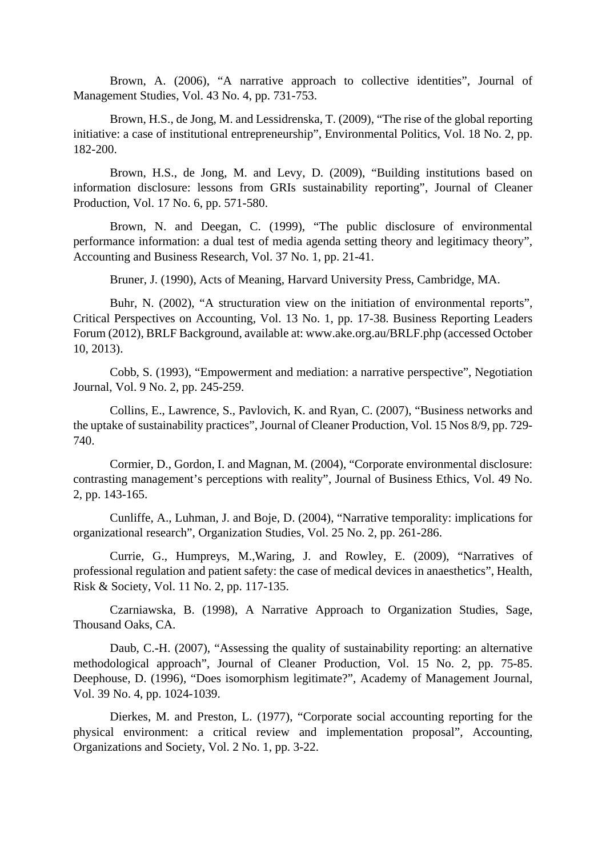Brown, A. (2006), "A narrative approach to collective identities", Journal of Management Studies, Vol. 43 No. 4, pp. 731-753.

Brown, H.S., de Jong, M. and Lessidrenska, T. (2009), "The rise of the global reporting initiative: a case of institutional entrepreneurship", Environmental Politics, Vol. 18 No. 2, pp. 182-200.

Brown, H.S., de Jong, M. and Levy, D. (2009), "Building institutions based on information disclosure: lessons from GRIs sustainability reporting", Journal of Cleaner Production, Vol. 17 No. 6, pp. 571-580.

Brown, N. and Deegan, C. (1999), "The public disclosure of environmental performance information: a dual test of media agenda setting theory and legitimacy theory", Accounting and Business Research, Vol. 37 No. 1, pp. 21-41.

Bruner, J. (1990), Acts of Meaning, Harvard University Press, Cambridge, MA.

Buhr, N. (2002), "A structuration view on the initiation of environmental reports", Critical Perspectives on Accounting, Vol. 13 No. 1, pp. 17-38. Business Reporting Leaders Forum (2012), BRLF Background, available at: www.ake.org.au/BRLF.php (accessed October 10, 2013).

Cobb, S. (1993), "Empowerment and mediation: a narrative perspective", Negotiation Journal, Vol. 9 No. 2, pp. 245-259.

Collins, E., Lawrence, S., Pavlovich, K. and Ryan, C. (2007), "Business networks and the uptake of sustainability practices", Journal of Cleaner Production, Vol. 15 Nos 8/9, pp. 729- 740.

Cormier, D., Gordon, I. and Magnan, M. (2004), "Corporate environmental disclosure: contrasting management's perceptions with reality", Journal of Business Ethics, Vol. 49 No. 2, pp. 143-165.

Cunliffe, A., Luhman, J. and Boje, D. (2004), "Narrative temporality: implications for organizational research", Organization Studies, Vol. 25 No. 2, pp. 261-286.

Currie, G., Humpreys, M.,Waring, J. and Rowley, E. (2009), "Narratives of professional regulation and patient safety: the case of medical devices in anaesthetics", Health, Risk & Society, Vol. 11 No. 2, pp. 117-135.

Czarniawska, B. (1998), A Narrative Approach to Organization Studies, Sage, Thousand Oaks, CA.

Daub, C.-H. (2007), "Assessing the quality of sustainability reporting: an alternative methodological approach", Journal of Cleaner Production, Vol. 15 No. 2, pp. 75-85. Deephouse, D. (1996), "Does isomorphism legitimate?", Academy of Management Journal, Vol. 39 No. 4, pp. 1024-1039.

Dierkes, M. and Preston, L. (1977), "Corporate social accounting reporting for the physical environment: a critical review and implementation proposal", Accounting, Organizations and Society, Vol. 2 No. 1, pp. 3-22.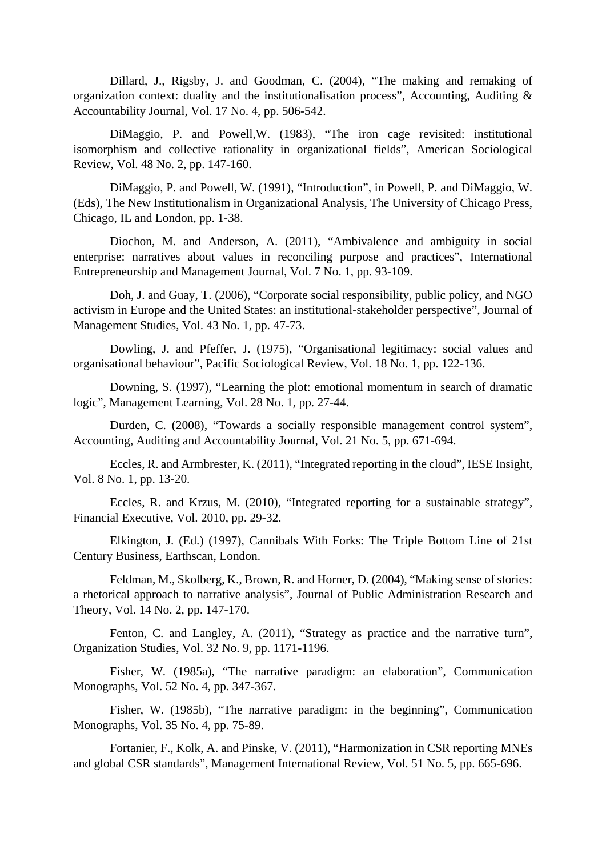Dillard, J., Rigsby, J. and Goodman, C. (2004), "The making and remaking of organization context: duality and the institutionalisation process", Accounting, Auditing & Accountability Journal, Vol. 17 No. 4, pp. 506-542.

DiMaggio, P. and Powell,W. (1983), "The iron cage revisited: institutional isomorphism and collective rationality in organizational fields", American Sociological Review, Vol. 48 No. 2, pp. 147-160.

DiMaggio, P. and Powell, W. (1991), "Introduction", in Powell, P. and DiMaggio, W. (Eds), The New Institutionalism in Organizational Analysis, The University of Chicago Press, Chicago, IL and London, pp. 1-38.

Diochon, M. and Anderson, A. (2011), "Ambivalence and ambiguity in social enterprise: narratives about values in reconciling purpose and practices", International Entrepreneurship and Management Journal, Vol. 7 No. 1, pp. 93-109.

Doh, J. and Guay, T. (2006), "Corporate social responsibility, public policy, and NGO activism in Europe and the United States: an institutional-stakeholder perspective", Journal of Management Studies, Vol. 43 No. 1, pp. 47-73.

Dowling, J. and Pfeffer, J. (1975), "Organisational legitimacy: social values and organisational behaviour", Pacific Sociological Review, Vol. 18 No. 1, pp. 122-136.

Downing, S. (1997), "Learning the plot: emotional momentum in search of dramatic logic", Management Learning, Vol. 28 No. 1, pp. 27-44.

Durden, C. (2008), "Towards a socially responsible management control system", Accounting, Auditing and Accountability Journal, Vol. 21 No. 5, pp. 671-694.

Eccles, R. and Armbrester, K. (2011), "Integrated reporting in the cloud", IESE Insight, Vol. 8 No. 1, pp. 13-20.

Eccles, R. and Krzus, M. (2010), "Integrated reporting for a sustainable strategy", Financial Executive, Vol. 2010, pp. 29-32.

Elkington, J. (Ed.) (1997), Cannibals With Forks: The Triple Bottom Line of 21st Century Business, Earthscan, London.

Feldman, M., Skolberg, K., Brown, R. and Horner, D. (2004), "Making sense of stories: a rhetorical approach to narrative analysis", Journal of Public Administration Research and Theory, Vol. 14 No. 2, pp. 147-170.

Fenton, C. and Langley, A. (2011), "Strategy as practice and the narrative turn", Organization Studies, Vol. 32 No. 9, pp. 1171-1196.

Fisher, W. (1985a), "The narrative paradigm: an elaboration", Communication Monographs, Vol. 52 No. 4, pp. 347-367.

Fisher, W. (1985b), "The narrative paradigm: in the beginning", Communication Monographs, Vol. 35 No. 4, pp. 75-89.

Fortanier, F., Kolk, A. and Pinske, V. (2011), "Harmonization in CSR reporting MNEs and global CSR standards", Management International Review, Vol. 51 No. 5, pp. 665-696.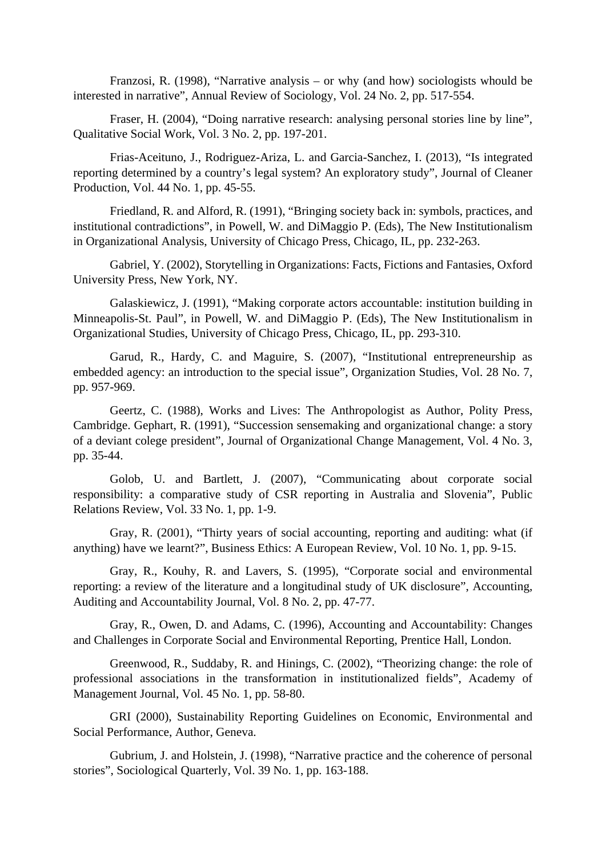Franzosi, R. (1998), "Narrative analysis – or why (and how) sociologists whould be interested in narrative", Annual Review of Sociology, Vol. 24 No. 2, pp. 517-554.

Fraser, H. (2004), "Doing narrative research: analysing personal stories line by line", Qualitative Social Work, Vol. 3 No. 2, pp. 197-201.

Frias-Aceituno, J., Rodriguez-Ariza, L. and Garcia-Sanchez, I. (2013), "Is integrated reporting determined by a country's legal system? An exploratory study", Journal of Cleaner Production, Vol. 44 No. 1, pp. 45-55.

Friedland, R. and Alford, R. (1991), "Bringing society back in: symbols, practices, and institutional contradictions", in Powell, W. and DiMaggio P. (Eds), The New Institutionalism in Organizational Analysis, University of Chicago Press, Chicago, IL, pp. 232-263.

Gabriel, Y. (2002), Storytelling in Organizations: Facts, Fictions and Fantasies, Oxford University Press, New York, NY.

Galaskiewicz, J. (1991), "Making corporate actors accountable: institution building in Minneapolis-St. Paul", in Powell, W. and DiMaggio P. (Eds), The New Institutionalism in Organizational Studies, University of Chicago Press, Chicago, IL, pp. 293-310.

Garud, R., Hardy, C. and Maguire, S. (2007), "Institutional entrepreneurship as embedded agency: an introduction to the special issue", Organization Studies, Vol. 28 No. 7, pp. 957-969.

Geertz, C. (1988), Works and Lives: The Anthropologist as Author, Polity Press, Cambridge. Gephart, R. (1991), "Succession sensemaking and organizational change: a story of a deviant colege president", Journal of Organizational Change Management, Vol. 4 No. 3, pp. 35-44.

Golob, U. and Bartlett, J. (2007), "Communicating about corporate social responsibility: a comparative study of CSR reporting in Australia and Slovenia", Public Relations Review, Vol. 33 No. 1, pp. 1-9.

Gray, R. (2001), "Thirty years of social accounting, reporting and auditing: what (if anything) have we learnt?", Business Ethics: A European Review, Vol. 10 No. 1, pp. 9-15.

Gray, R., Kouhy, R. and Lavers, S. (1995), "Corporate social and environmental reporting: a review of the literature and a longitudinal study of UK disclosure", Accounting, Auditing and Accountability Journal, Vol. 8 No. 2, pp. 47-77.

Gray, R., Owen, D. and Adams, C. (1996), Accounting and Accountability: Changes and Challenges in Corporate Social and Environmental Reporting, Prentice Hall, London.

Greenwood, R., Suddaby, R. and Hinings, C. (2002), "Theorizing change: the role of professional associations in the transformation in institutionalized fields", Academy of Management Journal, Vol. 45 No. 1, pp. 58-80.

GRI (2000), Sustainability Reporting Guidelines on Economic, Environmental and Social Performance, Author, Geneva.

Gubrium, J. and Holstein, J. (1998), "Narrative practice and the coherence of personal stories", Sociological Quarterly, Vol. 39 No. 1, pp. 163-188.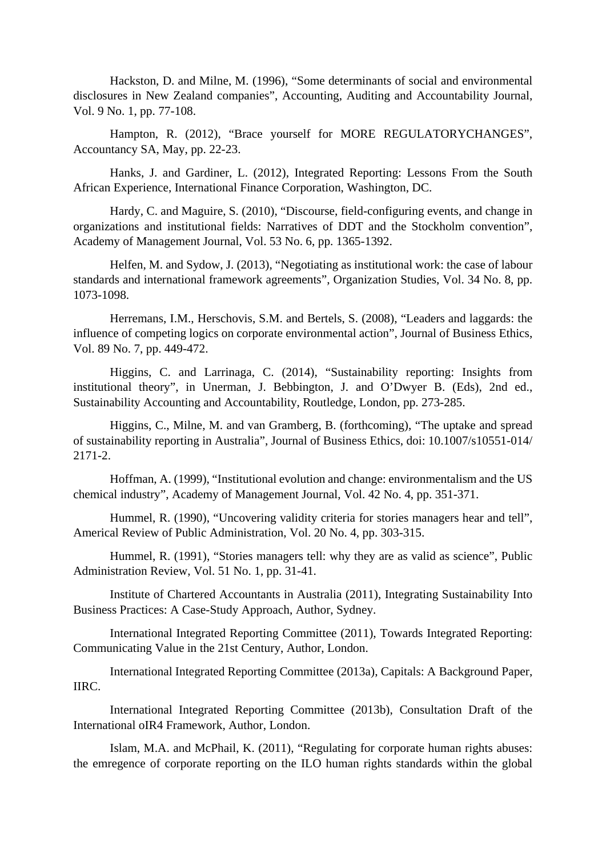Hackston, D. and Milne, M. (1996), "Some determinants of social and environmental disclosures in New Zealand companies", Accounting, Auditing and Accountability Journal, Vol. 9 No. 1, pp. 77-108.

Hampton, R. (2012), "Brace yourself for MORE REGULATORYCHANGES", Accountancy SA, May, pp. 22-23.

Hanks, J. and Gardiner, L. (2012), Integrated Reporting: Lessons From the South African Experience, International Finance Corporation, Washington, DC.

Hardy, C. and Maguire, S. (2010), "Discourse, field-configuring events, and change in organizations and institutional fields: Narratives of DDT and the Stockholm convention", Academy of Management Journal, Vol. 53 No. 6, pp. 1365-1392.

Helfen, M. and Sydow, J. (2013), "Negotiating as institutional work: the case of labour standards and international framework agreements", Organization Studies, Vol. 34 No. 8, pp. 1073-1098.

Herremans, I.M., Herschovis, S.M. and Bertels, S. (2008), "Leaders and laggards: the influence of competing logics on corporate environmental action", Journal of Business Ethics, Vol. 89 No. 7, pp. 449-472.

Higgins, C. and Larrinaga, C. (2014), "Sustainability reporting: Insights from institutional theory", in Unerman, J. Bebbington, J. and O'Dwyer B. (Eds), 2nd ed., Sustainability Accounting and Accountability, Routledge, London, pp. 273-285.

Higgins, C., Milne, M. and van Gramberg, B. (forthcoming), "The uptake and spread of sustainability reporting in Australia", Journal of Business Ethics, doi: 10.1007/s10551-014/ 2171-2.

Hoffman, A. (1999), "Institutional evolution and change: environmentalism and the US chemical industry", Academy of Management Journal, Vol. 42 No. 4, pp. 351-371.

Hummel, R. (1990), "Uncovering validity criteria for stories managers hear and tell", Americal Review of Public Administration, Vol. 20 No. 4, pp. 303-315.

Hummel, R. (1991), "Stories managers tell: why they are as valid as science", Public Administration Review, Vol. 51 No. 1, pp. 31-41.

Institute of Chartered Accountants in Australia (2011), Integrating Sustainability Into Business Practices: A Case-Study Approach, Author, Sydney.

International Integrated Reporting Committee (2011), Towards Integrated Reporting: Communicating Value in the 21st Century, Author, London.

International Integrated Reporting Committee (2013a), Capitals: A Background Paper, IIRC.

International Integrated Reporting Committee (2013b), Consultation Draft of the International oIR4 Framework, Author, London.

Islam, M.A. and McPhail, K. (2011), "Regulating for corporate human rights abuses: the emregence of corporate reporting on the ILO human rights standards within the global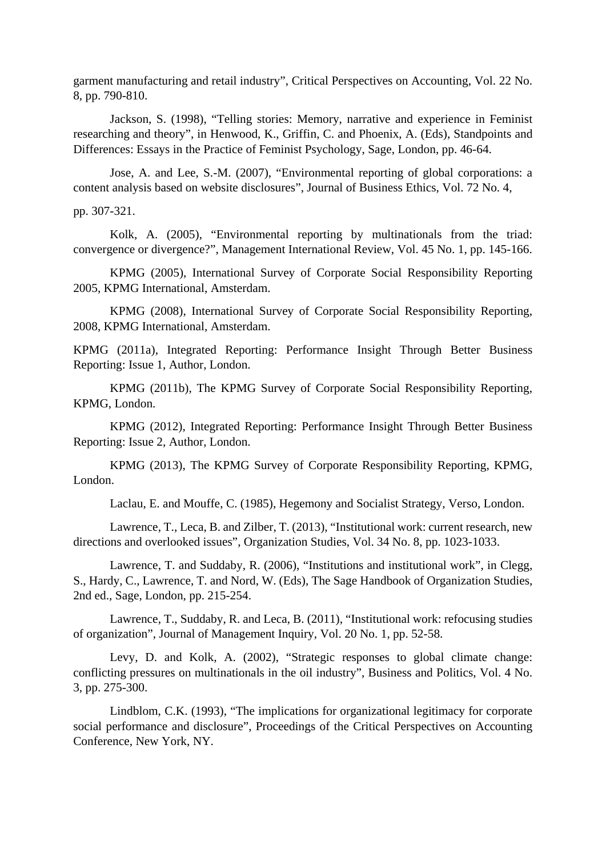garment manufacturing and retail industry", Critical Perspectives on Accounting, Vol. 22 No. 8, pp. 790-810.

Jackson, S. (1998), "Telling stories: Memory, narrative and experience in Feminist researching and theory", in Henwood, K., Griffin, C. and Phoenix, A. (Eds), Standpoints and Differences: Essays in the Practice of Feminist Psychology, Sage, London, pp. 46-64.

Jose, A. and Lee, S.-M. (2007), "Environmental reporting of global corporations: a content analysis based on website disclosures", Journal of Business Ethics, Vol. 72 No. 4,

pp. 307-321.

Kolk, A. (2005), "Environmental reporting by multinationals from the triad: convergence or divergence?", Management International Review, Vol. 45 No. 1, pp. 145-166.

KPMG (2005), International Survey of Corporate Social Responsibility Reporting 2005, KPMG International, Amsterdam.

KPMG (2008), International Survey of Corporate Social Responsibility Reporting, 2008, KPMG International, Amsterdam.

KPMG (2011a), Integrated Reporting: Performance Insight Through Better Business Reporting: Issue 1, Author, London.

KPMG (2011b), The KPMG Survey of Corporate Social Responsibility Reporting, KPMG, London.

KPMG (2012), Integrated Reporting: Performance Insight Through Better Business Reporting: Issue 2, Author, London.

KPMG (2013), The KPMG Survey of Corporate Responsibility Reporting, KPMG, London.

Laclau, E. and Mouffe, C. (1985), Hegemony and Socialist Strategy, Verso, London.

Lawrence, T., Leca, B. and Zilber, T. (2013), "Institutional work: current research, new directions and overlooked issues", Organization Studies, Vol. 34 No. 8, pp. 1023-1033.

Lawrence, T. and Suddaby, R. (2006), "Institutions and institutional work", in Clegg, S., Hardy, C., Lawrence, T. and Nord, W. (Eds), The Sage Handbook of Organization Studies, 2nd ed., Sage, London, pp. 215-254.

Lawrence, T., Suddaby, R. and Leca, B. (2011), "Institutional work: refocusing studies of organization", Journal of Management Inquiry, Vol. 20 No. 1, pp. 52-58.

Levy, D. and Kolk, A. (2002), "Strategic responses to global climate change: conflicting pressures on multinationals in the oil industry", Business and Politics, Vol. 4 No. 3, pp. 275-300.

Lindblom, C.K. (1993), "The implications for organizational legitimacy for corporate social performance and disclosure", Proceedings of the Critical Perspectives on Accounting Conference, New York, NY.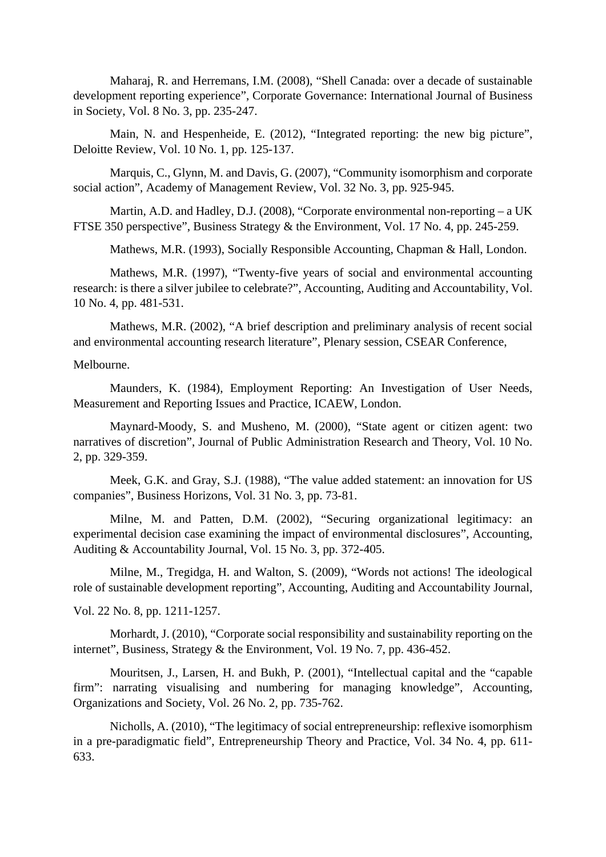Maharaj, R. and Herremans, I.M. (2008), "Shell Canada: over a decade of sustainable development reporting experience", Corporate Governance: International Journal of Business in Society, Vol. 8 No. 3, pp. 235-247.

Main, N. and Hespenheide, E. (2012), "Integrated reporting: the new big picture", Deloitte Review, Vol. 10 No. 1, pp. 125-137.

Marquis, C., Glynn, M. and Davis, G. (2007), "Community isomorphism and corporate social action", Academy of Management Review, Vol. 32 No. 3, pp. 925-945.

Martin, A.D. and Hadley, D.J. (2008), "Corporate environmental non-reporting – a UK FTSE 350 perspective", Business Strategy & the Environment, Vol. 17 No. 4, pp. 245-259.

Mathews, M.R. (1993), Socially Responsible Accounting, Chapman & Hall, London.

Mathews, M.R. (1997), "Twenty-five years of social and environmental accounting research: is there a silver jubilee to celebrate?", Accounting, Auditing and Accountability, Vol. 10 No. 4, pp. 481-531.

Mathews, M.R. (2002), "A brief description and preliminary analysis of recent social and environmental accounting research literature", Plenary session, CSEAR Conference,

#### Melbourne.

Maunders, K. (1984), Employment Reporting: An Investigation of User Needs, Measurement and Reporting Issues and Practice, ICAEW, London.

Maynard-Moody, S. and Musheno, M. (2000), "State agent or citizen agent: two narratives of discretion", Journal of Public Administration Research and Theory, Vol. 10 No. 2, pp. 329-359.

Meek, G.K. and Gray, S.J. (1988), "The value added statement: an innovation for US companies", Business Horizons, Vol. 31 No. 3, pp. 73-81.

Milne, M. and Patten, D.M. (2002), "Securing organizational legitimacy: an experimental decision case examining the impact of environmental disclosures", Accounting, Auditing & Accountability Journal, Vol. 15 No. 3, pp. 372-405.

Milne, M., Tregidga, H. and Walton, S. (2009), "Words not actions! The ideological role of sustainable development reporting", Accounting, Auditing and Accountability Journal,

Vol. 22 No. 8, pp. 1211-1257.

Morhardt, J. (2010), "Corporate social responsibility and sustainability reporting on the internet", Business, Strategy & the Environment, Vol. 19 No. 7, pp. 436-452.

Mouritsen, J., Larsen, H. and Bukh, P. (2001), "Intellectual capital and the "capable firm": narrating visualising and numbering for managing knowledge", Accounting, Organizations and Society, Vol. 26 No. 2, pp. 735-762.

Nicholls, A. (2010), "The legitimacy of social entrepreneurship: reflexive isomorphism in a pre-paradigmatic field", Entrepreneurship Theory and Practice, Vol. 34 No. 4, pp. 611- 633.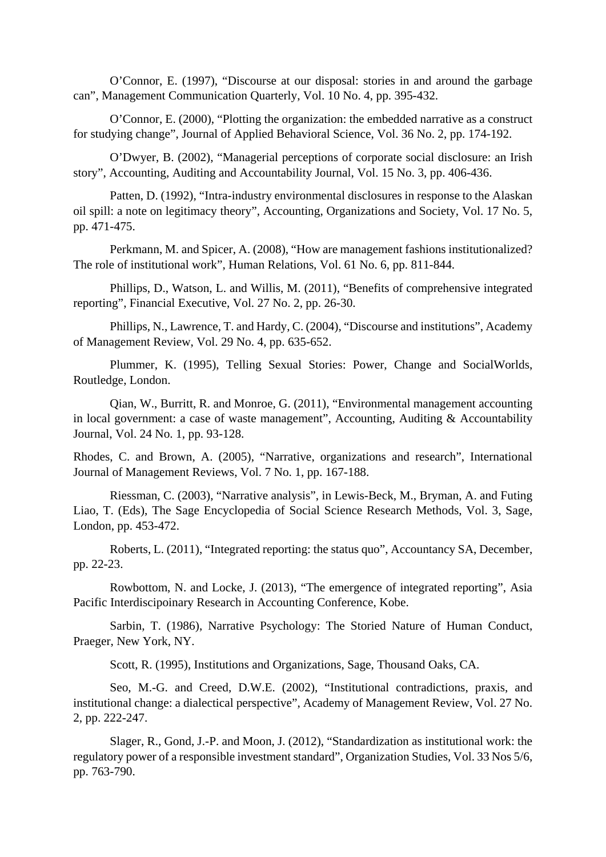O'Connor, E. (1997), "Discourse at our disposal: stories in and around the garbage can", Management Communication Quarterly, Vol. 10 No. 4, pp. 395-432.

O'Connor, E. (2000), "Plotting the organization: the embedded narrative as a construct for studying change", Journal of Applied Behavioral Science, Vol. 36 No. 2, pp. 174-192.

O'Dwyer, B. (2002), "Managerial perceptions of corporate social disclosure: an Irish story", Accounting, Auditing and Accountability Journal, Vol. 15 No. 3, pp. 406-436.

Patten, D. (1992), "Intra-industry environmental disclosures in response to the Alaskan oil spill: a note on legitimacy theory", Accounting, Organizations and Society, Vol. 17 No. 5, pp. 471-475.

Perkmann, M. and Spicer, A. (2008), "How are management fashions institutionalized? The role of institutional work", Human Relations, Vol. 61 No. 6, pp. 811-844.

Phillips, D., Watson, L. and Willis, M. (2011), "Benefits of comprehensive integrated reporting", Financial Executive, Vol. 27 No. 2, pp. 26-30.

Phillips, N., Lawrence, T. and Hardy, C. (2004), "Discourse and institutions", Academy of Management Review, Vol. 29 No. 4, pp. 635-652.

Plummer, K. (1995), Telling Sexual Stories: Power, Change and SocialWorlds, Routledge, London.

Qian, W., Burritt, R. and Monroe, G. (2011), "Environmental management accounting in local government: a case of waste management", Accounting, Auditing  $&$  Accountability Journal, Vol. 24 No. 1, pp. 93-128.

Rhodes, C. and Brown, A. (2005), "Narrative, organizations and research", International Journal of Management Reviews, Vol. 7 No. 1, pp. 167-188.

Riessman, C. (2003), "Narrative analysis", in Lewis-Beck, M., Bryman, A. and Futing Liao, T. (Eds), The Sage Encyclopedia of Social Science Research Methods, Vol. 3, Sage, London, pp. 453-472.

Roberts, L. (2011), "Integrated reporting: the status quo", Accountancy SA, December, pp. 22-23.

Rowbottom, N. and Locke, J. (2013), "The emergence of integrated reporting", Asia Pacific Interdiscipoinary Research in Accounting Conference, Kobe.

Sarbin, T. (1986), Narrative Psychology: The Storied Nature of Human Conduct, Praeger, New York, NY.

Scott, R. (1995), Institutions and Organizations, Sage, Thousand Oaks, CA.

Seo, M.-G. and Creed, D.W.E. (2002), "Institutional contradictions, praxis, and institutional change: a dialectical perspective", Academy of Management Review, Vol. 27 No. 2, pp. 222-247.

Slager, R., Gond, J.-P. and Moon, J. (2012), "Standardization as institutional work: the regulatory power of a responsible investment standard", Organization Studies, Vol. 33 Nos 5/6, pp. 763-790.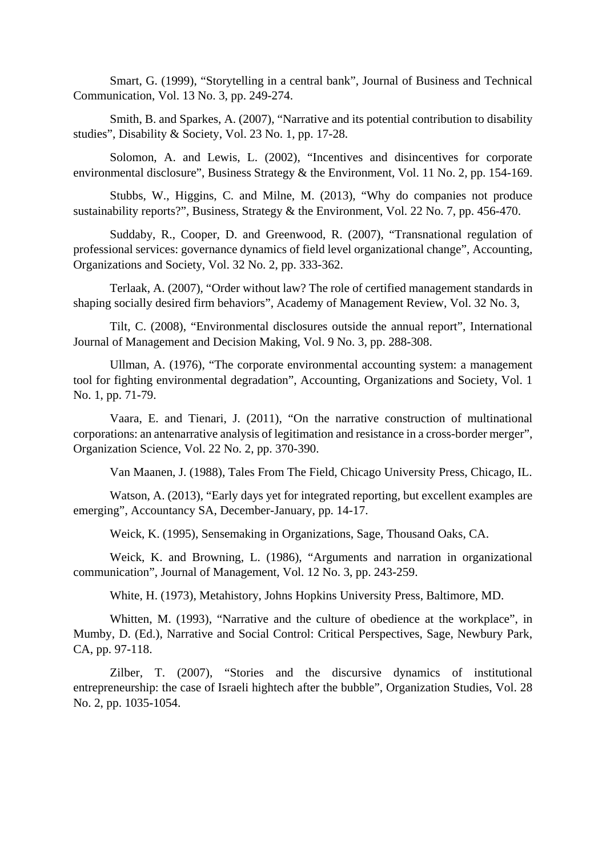Smart, G. (1999), "Storytelling in a central bank", Journal of Business and Technical Communication, Vol. 13 No. 3, pp. 249-274.

Smith, B. and Sparkes, A. (2007), "Narrative and its potential contribution to disability studies", Disability & Society, Vol. 23 No. 1, pp. 17-28.

Solomon, A. and Lewis, L. (2002), "Incentives and disincentives for corporate environmental disclosure", Business Strategy & the Environment, Vol. 11 No. 2, pp. 154-169.

Stubbs, W., Higgins, C. and Milne, M. (2013), "Why do companies not produce sustainability reports?", Business, Strategy & the Environment, Vol. 22 No. 7, pp. 456-470.

Suddaby, R., Cooper, D. and Greenwood, R. (2007), "Transnational regulation of professional services: governance dynamics of field level organizational change", Accounting, Organizations and Society, Vol. 32 No. 2, pp. 333-362.

Terlaak, A. (2007), "Order without law? The role of certified management standards in shaping socially desired firm behaviors", Academy of Management Review, Vol. 32 No. 3,

Tilt, C. (2008), "Environmental disclosures outside the annual report", International Journal of Management and Decision Making, Vol. 9 No. 3, pp. 288-308.

Ullman, A. (1976), "The corporate environmental accounting system: a management tool for fighting environmental degradation", Accounting, Organizations and Society, Vol. 1 No. 1, pp. 71-79.

Vaara, E. and Tienari, J. (2011), "On the narrative construction of multinational corporations: an antenarrative analysis of legitimation and resistance in a cross-border merger", Organization Science, Vol. 22 No. 2, pp. 370-390.

Van Maanen, J. (1988), Tales From The Field, Chicago University Press, Chicago, IL.

Watson, A. (2013), "Early days yet for integrated reporting, but excellent examples are emerging", Accountancy SA, December-January, pp. 14-17.

Weick, K. (1995), Sensemaking in Organizations, Sage, Thousand Oaks, CA.

Weick, K. and Browning, L. (1986), "Arguments and narration in organizational communication", Journal of Management, Vol. 12 No. 3, pp. 243-259.

White, H. (1973), Metahistory, Johns Hopkins University Press, Baltimore, MD.

Whitten, M. (1993), "Narrative and the culture of obedience at the workplace", in Mumby, D. (Ed.), Narrative and Social Control: Critical Perspectives, Sage, Newbury Park, CA, pp. 97-118.

Zilber, T. (2007), "Stories and the discursive dynamics of institutional entrepreneurship: the case of Israeli hightech after the bubble", Organization Studies, Vol. 28 No. 2, pp. 1035-1054.